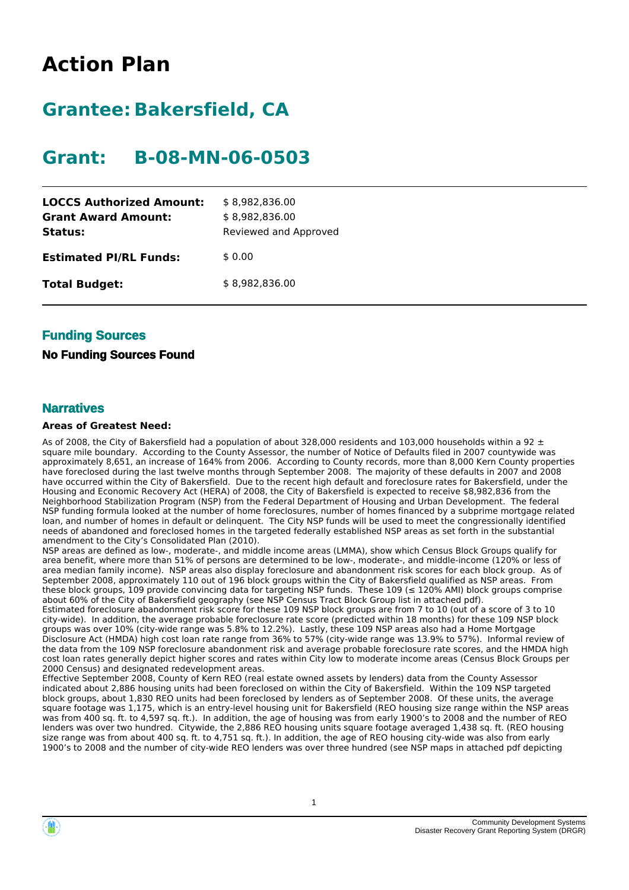# **Action Plan**

# **Grantee: Bakersfield, CA**

# **Grant: B-08-MN-06-0503**

| <b>LOCCS Authorized Amount:</b><br><b>Grant Award Amount:</b><br>Status: | \$8,982,836.00<br>\$8,982,836.00<br>Reviewed and Approved |
|--------------------------------------------------------------------------|-----------------------------------------------------------|
| <b>Estimated PI/RL Funds:</b>                                            | \$0.00                                                    |
| <b>Total Budget:</b>                                                     | \$8,982,836.00                                            |

## **Funding Sources**

## **No Funding Sources Found**

## **Narratives**

### **Areas of Greatest Need:**

As of 2008, the City of Bakersfield had a population of about 328,000 residents and 103,000 households within a 92  $\pm$ square mile boundary. According to the County Assessor, the number of Notice of Defaults filed in 2007 countywide was approximately 8,651, an increase of 164% from 2006. According to County records, more than 8,000 Kern County properties have foreclosed during the last twelve months through September 2008. The majority of these defaults in 2007 and 2008 have occurred within the City of Bakersfield. Due to the recent high default and foreclosure rates for Bakersfield, under the Housing and Economic Recovery Act (HERA) of 2008, the City of Bakersfield is expected to receive \$8,982,836 from the Neighborhood Stabilization Program (NSP) from the Federal Department of Housing and Urban Development. The federal NSP funding formula looked at the number of home foreclosures, number of homes financed by a subprime mortgage related loan, and number of homes in default or delinquent. The City NSP funds will be used to meet the congressionally identified needs of abandoned and foreclosed homes in the targeted federally established NSP areas as set forth in the substantial amendment to the City's Consolidated Plan (2010).

NSP areas are defined as low-, moderate-, and middle income areas (LMMA), show which Census Block Groups qualify for area benefit, where more than 51% of persons are determined to be low-, moderate-, and middle-income (120% or less of area median family income). NSP areas also display foreclosure and abandonment risk scores for each block group. As of September 2008, approximately 110 out of 196 block groups within the City of Bakersfield qualified as NSP areas. From these block groups, 109 provide convincing data for targeting NSP funds. These 109 ( $\leq$  120% AMI) block groups comprise about 60% of the City of Bakersfield geography (see NSP Census Tract Block Group list in attached pdf).

Estimated foreclosure abandonment risk score for these 109 NSP block groups are from 7 to 10 (out of a score of 3 to 10 city-wide). In addition, the average probable foreclosure rate score (predicted within 18 months) for these 109 NSP block groups was over 10% (city-wide range was 5.8% to 12.2%). Lastly, these 109 NSP areas also had a Home Mortgage Disclosure Act (HMDA) high cost loan rate range from 36% to 57% (city-wide range was 13.9% to 57%). Informal review of the data from the 109 NSP foreclosure abandonment risk and average probable foreclosure rate scores, and the HMDA high cost loan rates generally depict higher scores and rates within City low to moderate income areas (Census Block Groups per 2000 Census) and designated redevelopment areas.

Effective September 2008, County of Kern REO (real estate owned assets by lenders) data from the County Assessor indicated about 2,886 housing units had been foreclosed on within the City of Bakersfield. Within the 109 NSP targeted block groups, about 1,830 REO units had been foreclosed by lenders as of September 2008. Of these units, the average square footage was 1,175, which is an entry-level housing unit for Bakersfield (REO housing size range within the NSP areas was from 400 sq. ft. to 4,597 sq. ft.). In addition, the age of housing was from early 1900's to 2008 and the number of REO lenders was over two hundred. Citywide, the 2,886 REO housing units square footage averaged 1,438 sq. ft. (REO housing size range was from about 400 sq. ft. to 4,751 sq. ft.). In addition, the age of REO housing city-wide was also from early 1900's to 2008 and the number of city-wide REO lenders was over three hundred (see NSP maps in attached pdf depicting

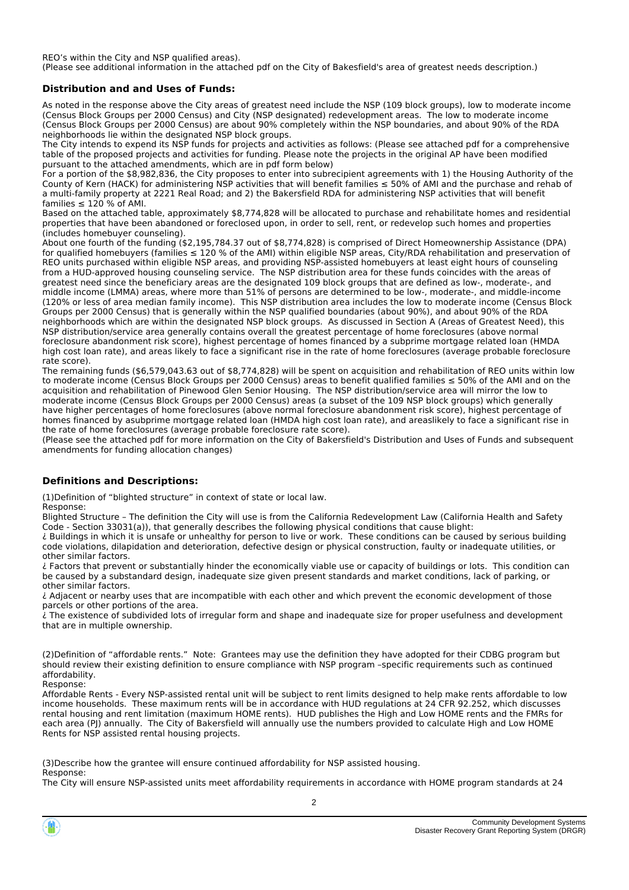REO's within the City and NSP qualified areas). (Please see additional information in the attached pdf on the City of Bakesfield's area of greatest needs description.)

#### **Distribution and and Uses of Funds:**

As noted in the response above the City areas of greatest need include the NSP (109 block groups), low to moderate income (Census Block Groups per 2000 Census) and City (NSP designated) redevelopment areas. The low to moderate income (Census Block Groups per 2000 Census) are about 90% completely within the NSP boundaries, and about 90% of the RDA neighborhoods lie within the designated NSP block groups.

The City intends to expend its NSP funds for projects and activities as follows: (Please see attached pdf for a comprehensive table of the proposed projects and activities for funding. Please note the projects in the original AP have been modified pursuant to the attached amendments, which are in pdf form below)

For a portion of the \$8,982,836, the City proposes to enter into subrecipient agreements with 1) the Housing Authority of the County of Kern (HACK) for administering NSP activities that will benefit families ≤ 50% of AMI and the purchase and rehab of a multi-family property at 2221 Real Road; and 2) the Bakersfield RDA for administering NSP activities that will benefit families  $\leq 120$  % of AMI.

Based on the attached table, approximately \$8,774,828 will be allocated to purchase and rehabilitate homes and residential properties that have been abandoned or foreclosed upon, in order to sell, rent, or redevelop such homes and properties (includes homebuyer counseling).

About one fourth of the funding (\$2,195,784.37 out of \$8,774,828) is comprised of Direct Homeownership Assistance (DPA) for qualified homebuyers (families  $\leq 120$  % of the AMI) within eligible NSP areas. City/RDA rehabilitation and preservation of REO units purchased within eligible NSP areas, and providing NSP-assisted homebuyers at least eight hours of counseling from a HUD-approved housing counseling service. The NSP distribution area for these funds coincides with the areas of greatest need since the beneficiary areas are the designated 109 block groups that are defined as low-, moderate-, and middle income (LMMA) areas, where more than 51% of persons are determined to be low-, moderate-, and middle-income (120% or less of area median family income). This NSP distribution area includes the low to moderate income (Census Block Groups per 2000 Census) that is generally within the NSP qualified boundaries (about 90%), and about 90% of the RDA neighborhoods which are within the designated NSP block groups. As discussed in Section A (Areas of Greatest Need), this NSP distribution/service area generally contains overall the greatest percentage of home foreclosures (above normal foreclosure abandonment risk score), highest percentage of homes financed by a subprime mortgage related loan (HMDA high cost loan rate), and areas likely to face a significant rise in the rate of home foreclosures (average probable foreclosure rate score).

The remaining funds (\$6,579,043.63 out of \$8,774,828) will be spent on acquisition and rehabilitation of REO units within low to moderate income (Census Block Groups per 2000 Census) areas to benefit qualified families ≤ 50% of the AMI and on the acquisition and rehabilitation of Pinewood Glen Senior Housing. The NSP distribution/service area will mirror the low to moderate income (Census Block Groups per 2000 Census) areas (a subset of the 109 NSP block groups) which generally have higher percentages of home foreclosures (above normal foreclosure abandonment risk score), highest percentage of homes financed by asubprime mortgage related loan (HMDA high cost loan rate), and areaslikely to face a significant rise in the rate of home foreclosures (average probable foreclosure rate score).

(Please see the attached pdf for more information on the City of Bakersfield's Distribution and Uses of Funds and subsequent amendments for funding allocation changes)

### **Definitions and Descriptions:**

(1)Definition of "blighted structure" in context of state or local law. Response:

Blighted Structure – The definition the City will use is from the California Redevelopment Law (California Health and Safety Code - Section 33031(a)), that generally describes the following physical conditions that cause blight:

¿ Buildings in which it is unsafe or unhealthy for person to live or work. These conditions can be caused by serious building code violations, dilapidation and deterioration, defective design or physical construction, faulty or inadequate utilities, or other similar factors.

¿ Factors that prevent or substantially hinder the economically viable use or capacity of buildings or lots. This condition can be caused by a substandard design, inadequate size given present standards and market conditions, lack of parking, or other similar factors.

¿ Adjacent or nearby uses that are incompatible with each other and which prevent the economic development of those parcels or other portions of the area.

¿ The existence of subdivided lots of irregular form and shape and inadequate size for proper usefulness and development that are in multiple ownership.

(2)Definition of "affordable rents." Note: Grantees may use the definition they have adopted for their CDBG program but should review their existing definition to ensure compliance with NSP program –specific requirements such as continued affordability.

Response:

Affordable Rents - Every NSP-assisted rental unit will be subject to rent limits designed to help make rents affordable to low income households. These maximum rents will be in accordance with HUD regulations at 24 CFR 92.252, which discusses rental housing and rent limitation (maximum HOME rents). HUD publishes the High and Low HOME rents and the FMRs for each area (PJ) annually. The City of Bakersfield will annually use the numbers provided to calculate High and Low HOME Rents for NSP assisted rental housing projects.

(3)Describe how the grantee will ensure continued affordability for NSP assisted housing. Response:

The City will ensure NSP-assisted units meet affordability requirements in accordance with HOME program standards at 24

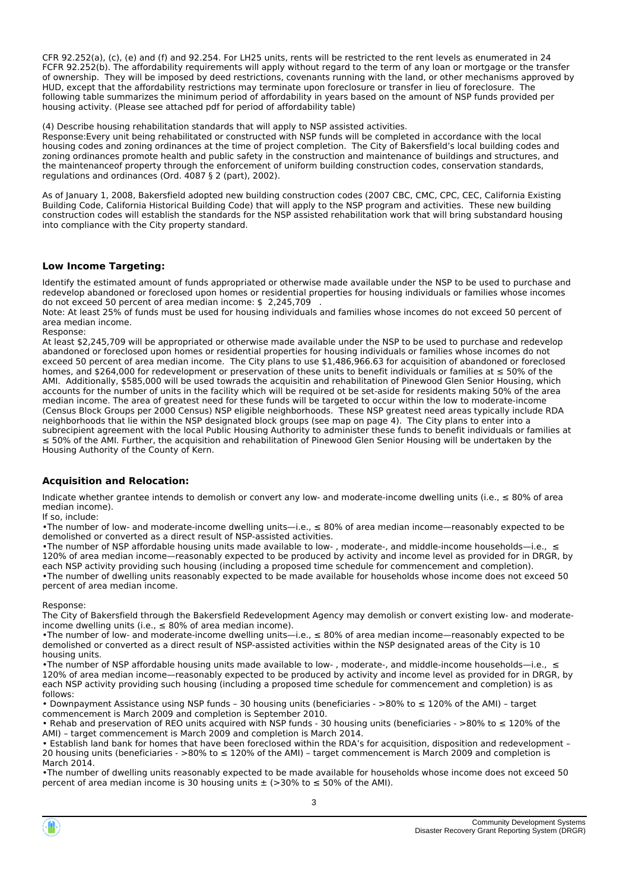CFR 92.252(a), (c), (e) and (f) and 92.254. For LH25 units, rents will be restricted to the rent levels as enumerated in 24 FCFR 92.252(b). The affordability requirements will apply without regard to the term of any loan or mortgage or the transfer of ownership. They will be imposed by deed restrictions, covenants running with the land, or other mechanisms approved by HUD, except that the affordability restrictions may terminate upon foreclosure or transfer in lieu of foreclosure. The following table summarizes the minimum period of affordability in years based on the amount of NSP funds provided per housing activity. (Please see attached pdf for period of affordability table)

(4) Describe housing rehabilitation standards that will apply to NSP assisted activities.

Response:Every unit being rehabilitated or constructed with NSP funds will be completed in accordance with the local housing codes and zoning ordinances at the time of project completion. The City of Bakersfield's local building codes and zoning ordinances promote health and public safety in the construction and maintenance of buildings and structures, and the maintenanceof property through the enforcement of uniform building construction codes, conservation standards, regulations and ordinances (Ord. 4087 § 2 (part), 2002).

As of January 1, 2008, Bakersfield adopted new building construction codes (2007 CBC, CMC, CPC, CEC, California Existing Building Code, California Historical Building Code) that will apply to the NSP program and activities. These new building construction codes will establish the standards for the NSP assisted rehabilitation work that will bring substandard housing into compliance with the City property standard.

#### **Low Income Targeting:**

Identify the estimated amount of funds appropriated or otherwise made available under the NSP to be used to purchase and redevelop abandoned or foreclosed upon homes or residential properties for housing individuals or families whose incomes do not exceed 50 percent of area median income: \$ 2,245,709

Note: At least 25% of funds must be used for housing individuals and families whose incomes do not exceed 50 percent of area median income.

Response:

At least \$2,245,709 will be appropriated or otherwise made available under the NSP to be used to purchase and redevelop abandoned or foreclosed upon homes or residential properties for housing individuals or families whose incomes do not exceed 50 percent of area median income. The City plans to use \$1,486,966.63 for acquisition of abandoned or foreclosed homes, and \$264,000 for redevelopment or preservation of these units to benefit individuals or families at ≤ 50% of the AMI. Additionally, \$585,000 will be used towrads the acquisitin and rehabilitation of Pinewood Glen Senior Housing, which accounts for the number of units in the facility which will be required ot be set-aside for residents making 50% of the area median income. The area of greatest need for these funds will be targeted to occur within the low to moderate-income (Census Block Groups per 2000 Census) NSP eligible neighborhoods. These NSP greatest need areas typically include RDA neighborhoods that lie within the NSP designated block groups (see map on page 4). The City plans to enter into a subrecipient agreement with the local Public Housing Authority to administer these funds to benefit individuals or families at ≤ 50% of the AMI. Further, the acquisition and rehabilitation of Pinewood Glen Senior Housing will be undertaken by the Housing Authority of the County of Kern.

#### **Acquisition and Relocation:**

Indicate whether grantee intends to demolish or convert any low- and moderate-income dwelling units (i.e., ≤ 80% of area median income).

If so, include:

•The number of low- and moderate-income dwelling units—i.e., ≤ 80% of area median income—reasonably expected to be demolished or converted as a direct result of NSP-assisted activities.

•The number of NSP affordable housing units made available to low- , moderate-, and middle-income households—i.e., ≤ 120% of area median income—reasonably expected to be produced by activity and income level as provided for in DRGR, by each NSP activity providing such housing (including a proposed time schedule for commencement and completion). •The number of dwelling units reasonably expected to be made available for households whose income does not exceed 50 percent of area median income.

Response:

The City of Bakersfield through the Bakersfield Redevelopment Agency may demolish or convert existing low- and moderateincome dwelling units (i.e.,  $\leq 80\%$  of area median income).

•The number of low- and moderate-income dwelling units—i.e., ≤ 80% of area median income—reasonably expected to be demolished or converted as a direct result of NSP-assisted activities within the NSP designated areas of the City is 10 housing units.

•The number of NSP affordable housing units made available to low- , moderate-, and middle-income households—i.e., ≤ 120% of area median income—reasonably expected to be produced by activity and income level as provided for in DRGR, by each NSP activity providing such housing (including a proposed time schedule for commencement and completion) is as follows:

• Downpayment Assistance using NSP funds – 30 housing units (beneficiaries - >80% to ≤ 120% of the AMI) – target commencement is March 2009 and completion is September 2010.

• Rehab and preservation of REO units acquired with NSP funds - 30 housing units (beneficiaries - >80% to ≤ 120% of the AMI) – target commencement is March 2009 and completion is March 2014.

• Establish land bank for homes that have been foreclosed within the RDA's for acquisition, disposition and redevelopment – 20 housing units (beneficiaries - >80% to ≤ 120% of the AMI) – target commencement is March 2009 and completion is March 2014.

•The number of dwelling units reasonably expected to be made available for households whose income does not exceed 50 percent of area median income is 30 housing units  $\pm$  (>30% to  $\leq$  50% of the AMI).

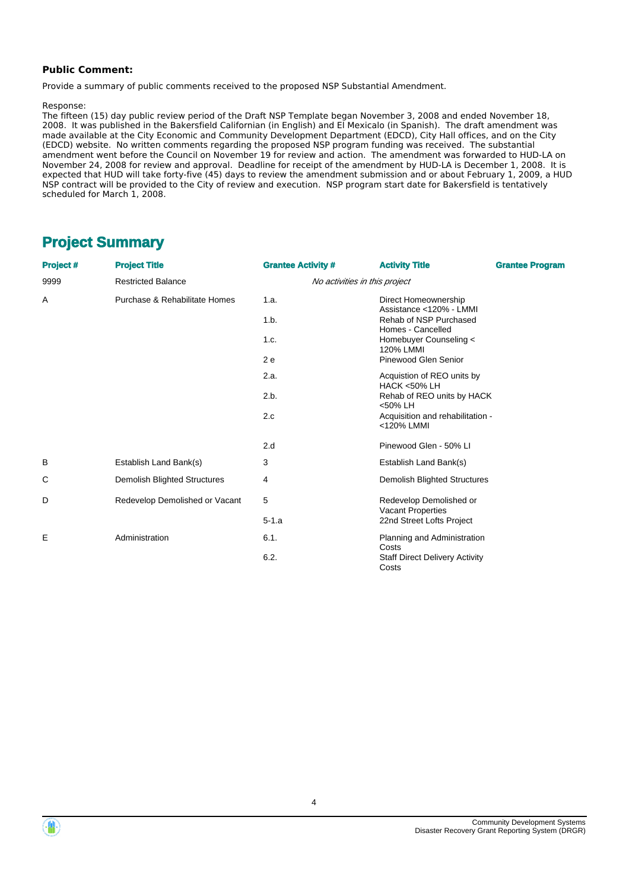#### **Public Comment:**

Provide a summary of public comments received to the proposed NSP Substantial Amendment.

#### Response:

The fifteen (15) day public review period of the Draft NSP Template began November 3, 2008 and ended November 18, 2008. It was published in the Bakersfield Californian (in English) and El Mexicalo (in Spanish). The draft amendment was made available at the City Economic and Community Development Department (EDCD), City Hall offices, and on the City (EDCD) website. No written comments regarding the proposed NSP program funding was received. The substantial amendment went before the Council on November 19 for review and action. The amendment was forwarded to HUD-LA on November 24, 2008 for review and approval. Deadline for receipt of the amendment by HUD-LA is December 1, 2008. It is expected that HUD will take forty-five (45) days to review the amendment submission and or about February 1, 2009, a HUD NSP contract will be provided to the City of review and execution. NSP program start date for Bakersfield is tentatively scheduled for March 1, 2008.

## **Project Summary**

| Project # | <b>Project Title</b><br><b>Grantee Activity #</b><br><b>Activity Title</b> |                               |                                                      | <b>Grantee Program</b> |  |
|-----------|----------------------------------------------------------------------------|-------------------------------|------------------------------------------------------|------------------------|--|
| 9999      | <b>Restricted Balance</b>                                                  | No activities in this project |                                                      |                        |  |
| Α         | Purchase & Rehabilitate Homes                                              | 1.a.                          | Direct Homeownership<br>Assistance <120% - LMMI      |                        |  |
|           |                                                                            | 1.b.                          | Rehab of NSP Purchased<br>Homes - Cancelled          |                        |  |
|           |                                                                            | 1.c.                          | Homebuyer Counseling <<br>120% LMMI                  |                        |  |
|           |                                                                            | 2e                            | Pinewood Glen Senior                                 |                        |  |
|           |                                                                            | 2.a.                          | Acquistion of REO units by<br><b>HACK &lt;50% LH</b> |                        |  |
|           |                                                                            | 2.b.                          | Rehab of REO units by HACK<br><50% LH                |                        |  |
|           |                                                                            | 2.c                           | Acquisition and rehabilitation -<br><120% LMMI       |                        |  |
|           |                                                                            | 2.d                           | Pinewood Glen - 50% Ll                               |                        |  |
| B         | Establish Land Bank(s)                                                     | 3                             | Establish Land Bank(s)                               |                        |  |
| С         | <b>Demolish Blighted Structures</b>                                        | 4                             | <b>Demolish Blighted Structures</b>                  |                        |  |
| D         | Redevelop Demolished or Vacant                                             | 5                             | Redevelop Demolished or<br>Vacant Properties         |                        |  |
|           |                                                                            | $5 - 1.a$                     | 22nd Street Lofts Project                            |                        |  |
| E         | Administration                                                             | 6.1.                          | Planning and Administration<br>Costs                 |                        |  |
|           |                                                                            | 6.2.                          | <b>Staff Direct Delivery Activity</b><br>Costs       |                        |  |



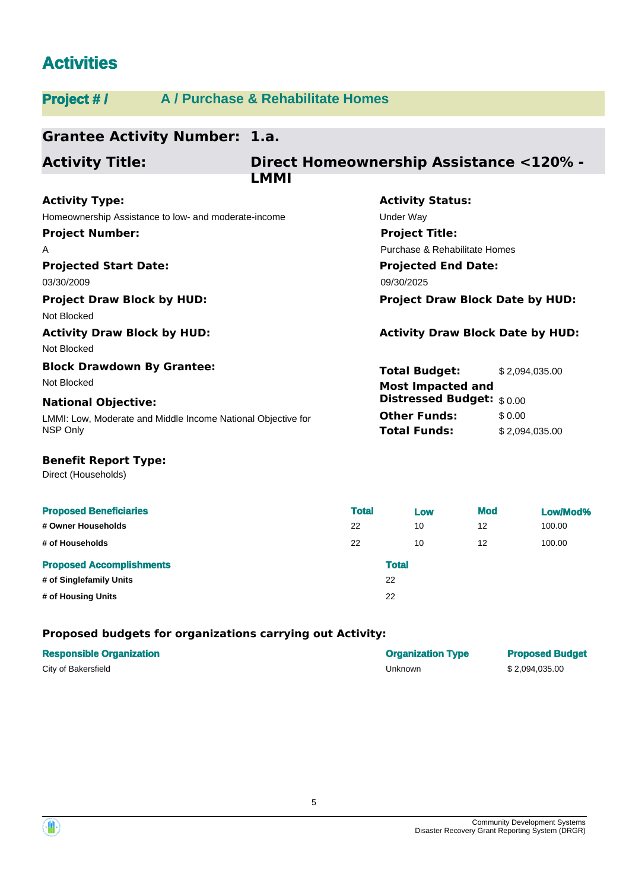## **Activities**

## **Project # / A / Purchase & Rehabilitate Homes**

#### **Grantee Activity Number: 1.a. Projected Start Date:** LMMI: Low, Moderate and Middle Income National Objective for NSP Only **National Objective: Activity Status: Projected End Date: Activity Type:** 03/30/2009 09/30/2025 Homeownership Assistance to low- and moderate-income Theorem Conder Way **Direct Homeownership Assistance <120% - LMMI Activity Title: Project Number:** A **Project Title:** Purchase & Rehabilitate Homes **Total Budget:** \$ 2,094,035.00 **Other Funds:** \$0.00 **Total Funds:** \$ 2,094,035.00 **Project Draw Block by HUD: Project Draw Block Date by HUD:** Not Blocked **Activity Draw Block by HUD: Activity Draw Block Date by HUD:** Not Blocked **Block Drawdown By Grantee:** Not Blocked **Most Impacted and Distressed Budget:** \$ 0.00

## **Benefit Report Type:**

Direct (Households)

| <b>Proposed Beneficiaries</b>   | <b>Total</b> |              | Low | <b>Mod</b> | Low/Mod% |
|---------------------------------|--------------|--------------|-----|------------|----------|
| # Owner Households              | 22           |              | 10  | 12         | 100.00   |
| # of Households                 | 22           |              | 10  | 12         | 100.00   |
| <b>Proposed Accomplishments</b> |              | <b>Total</b> |     |            |          |
| # of Singlefamily Units         |              | 22           |     |            |          |
| # of Housing Units              |              | 22           |     |            |          |

### **Proposed budgets for organizations carrying out Activity:**

| <b>Responsible Organization</b> | <b>Organization Type</b> | <b>Proposed Budget</b> |
|---------------------------------|--------------------------|------------------------|
| City of Bakersfield             | Unknown                  | \$2,094,035.00         |

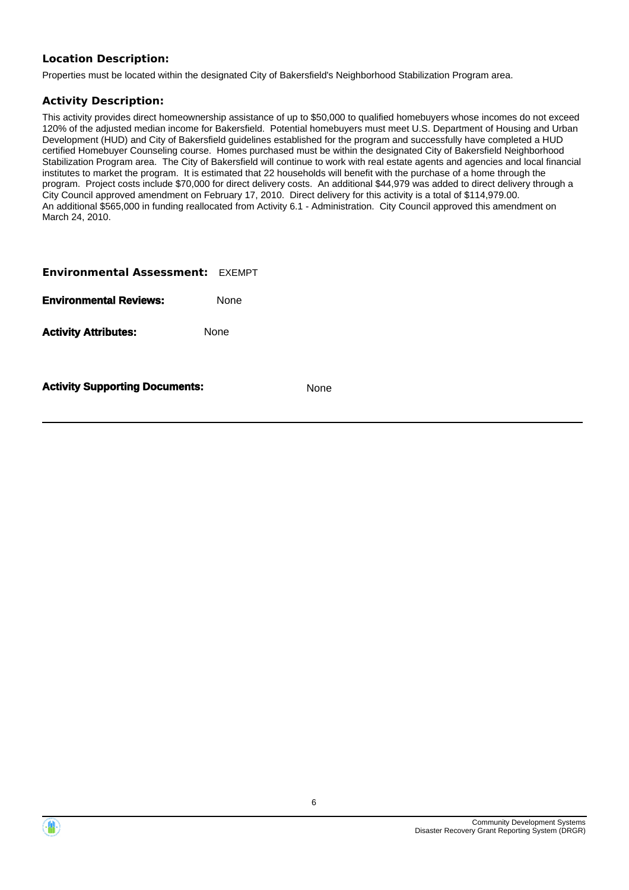## **Location Description:**

Properties must be located within the designated City of Bakersfield's Neighborhood Stabilization Program area.

### **Activity Description:**

This activity provides direct homeownership assistance of up to \$50,000 to qualified homebuyers whose incomes do not exceed 120% of the adjusted median income for Bakersfield. Potential homebuyers must meet U.S. Department of Housing and Urban Development (HUD) and City of Bakersfield guidelines established for the program and successfully have completed a HUD certified Homebuyer Counseling course. Homes purchased must be within the designated City of Bakersfield Neighborhood Stabilization Program area. The City of Bakersfield will continue to work with real estate agents and agencies and local financial institutes to market the program. It is estimated that 22 households will benefit with the purchase of a home through the program. Project costs include \$70,000 for direct delivery costs. An additional \$44,979 was added to direct delivery through a City Council approved amendment on February 17, 2010. Direct delivery for this activity is a total of \$114,979.00. An additional \$565,000 in funding reallocated from Activity 6.1 - Administration. City Council approved this amendment on March 24, 2010.

| <b>Environmental Assessment: EXEMPT</b> |             |
|-----------------------------------------|-------------|
| <b>Environmental Reviews:</b>           | None        |
| <b>Activity Attributes:</b>             | <b>None</b> |
|                                         |             |

**Activity Supporting Documents:** None



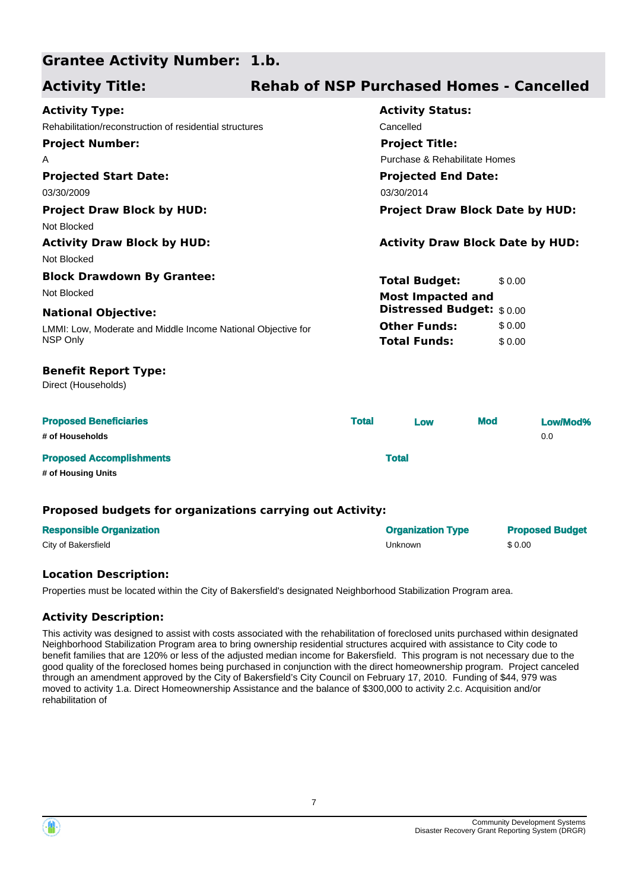#### **Grantee Activity Number: 1.b.**

### **Projected Start Date:** LMMI: Low, Moderate and Middle Income National Objective for NSP Only **National Objective: Activity Status: Projected End Date: Activity Type:** 03/30/2009 03/30/2014 03/30/2014 Rehabilitation/reconstruction of residential structures Cancelled Cancelled **Activity Title: Rehab of NSP Purchased Homes - Cancelled Project Number:** A **Project Title:** Purchase & Rehabilitate Homes **Total Budget:** \$0.00 **Other Funds:** \$ 0.00 **Total Funds:** \$0.00 **Proposed Beneficiaries Total Low Mod Low/Mod% # of Households** 0.0 **Proposed Accomplishments Total # of Housing Units** Direct (Households) **Benefit Report Type: Project Draw Block by HUD: Project Draw Block Date by HUD:** Not Blocked **Activity Draw Block by HUD: Activity Draw Block Date by HUD:** Not Blocked **Block Drawdown By Grantee:** Not Blocked **Most Impacted and Distressed Budget:** \$ 0.00

## **Proposed budgets for organizations carrying out Activity:**

| <b>Responsible Organization</b> | <b>Organization Type</b> | <b>Proposed Budget</b> |
|---------------------------------|--------------------------|------------------------|
| City of Bakersfield             | Unknown                  | \$0.00                 |

## **Location Description:**

Properties must be located within the City of Bakersfield's designated Neighborhood Stabilization Program area.

## **Activity Description:**

This activity was designed to assist with costs associated with the rehabilitation of foreclosed units purchased within designated Neighborhood Stabilization Program area to bring ownership residential structures acquired with assistance to City code to benefit families that are 120% or less of the adjusted median income for Bakersfield. This program is not necessary due to the good quality of the foreclosed homes being purchased in conjunction with the direct homeownership program. Project canceled through an amendment approved by the City of Bakersfield's City Council on February 17, 2010. Funding of \$44, 979 was moved to activity 1.a. Direct Homeownership Assistance and the balance of \$300,000 to activity 2.c. Acquisition and/or rehabilitation of

7

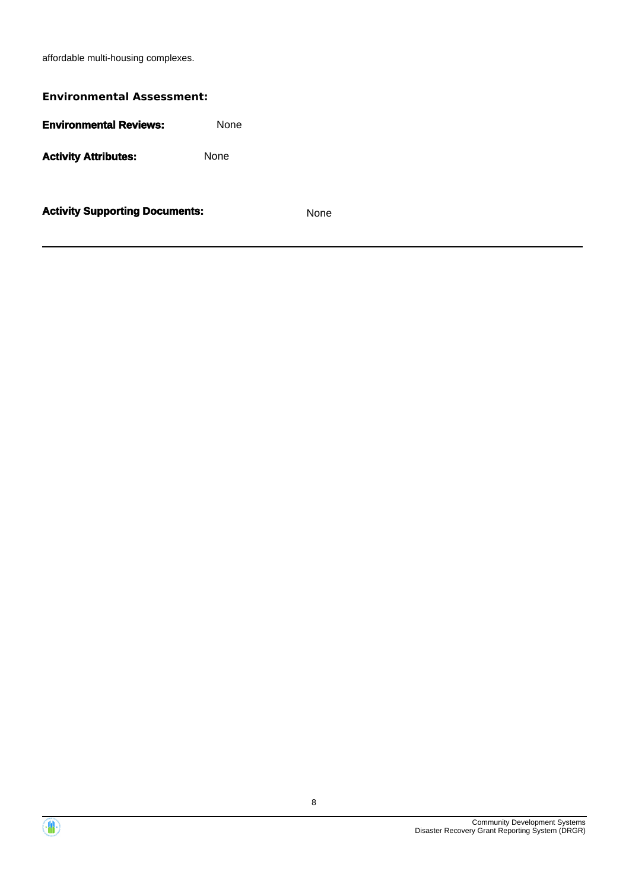affordable multi-housing complexes.

# **Activity Supporting Documents:** None **Environmental Assessment: Environmental Reviews:** None Activity **Attributes:** None



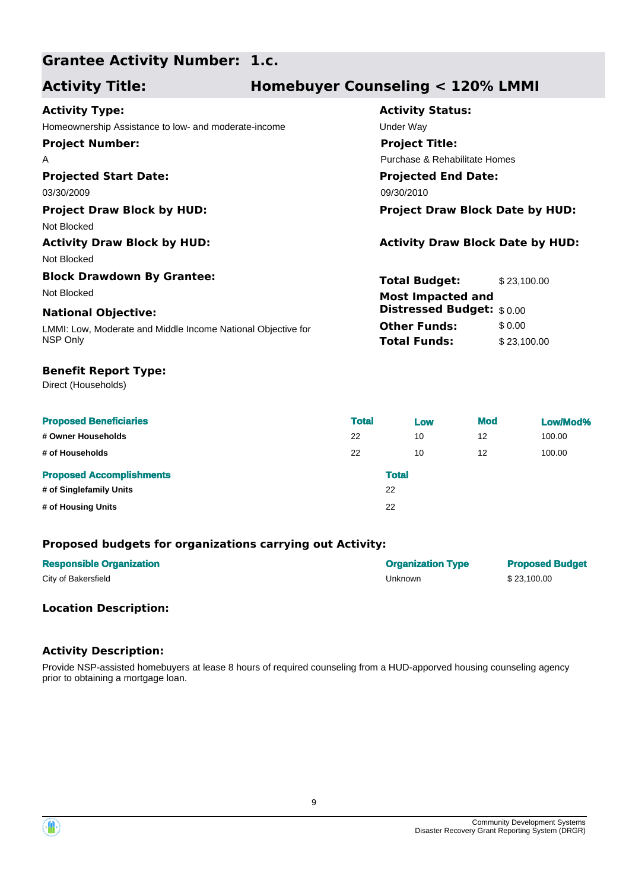## **Grantee Activity Number: 1.c.**

## **Activity Title: Homebuyer Counseling < 120% LMMI**

| <b>Activity Type:</b>                                        | <b>Activity Status:</b>                 |             |
|--------------------------------------------------------------|-----------------------------------------|-------------|
| Homeownership Assistance to low- and moderate-income         | Under Way                               |             |
| <b>Project Number:</b>                                       | <b>Project Title:</b>                   |             |
| A                                                            | Purchase & Rehabilitate Homes           |             |
| <b>Projected Start Date:</b>                                 | <b>Projected End Date:</b>              |             |
| 03/30/2009                                                   | 09/30/2010                              |             |
| <b>Project Draw Block by HUD:</b>                            | <b>Project Draw Block Date by HUD:</b>  |             |
| Not Blocked                                                  |                                         |             |
| <b>Activity Draw Block by HUD:</b>                           | <b>Activity Draw Block Date by HUD:</b> |             |
| Not Blocked                                                  |                                         |             |
| <b>Block Drawdown By Grantee:</b>                            | <b>Total Budget:</b>                    | \$23,100.00 |
| Not Blocked                                                  | <b>Most Impacted and</b>                |             |
| <b>National Objective:</b>                                   | <b>Distressed Budget:</b> \$0.00        |             |
| LMMI: Low, Moderate and Middle Income National Objective for | <b>Other Funds:</b>                     | \$0.00      |
| NSP Only                                                     | <b>Total Funds:</b>                     | \$23,100.00 |
|                                                              |                                         |             |

## **Benefit Report Type:**

Direct (Households)

| <b>Proposed Beneficiaries</b>   | <b>Total</b> |              | Low | <b>Mod</b> | Low/Mod% |
|---------------------------------|--------------|--------------|-----|------------|----------|
| # Owner Households              | 22           |              | 10  | 12         | 100.00   |
| # of Households                 | 22           |              | 10  | 12         | 100.00   |
| <b>Proposed Accomplishments</b> |              | <b>Total</b> |     |            |          |
| # of Singlefamily Units         |              | 22           |     |            |          |
| # of Housing Units              |              | 22           |     |            |          |

## **Proposed budgets for organizations carrying out Activity:**

| <b>Responsible Organization</b> | <b>Organization Type</b> | <b>Proposed Budget</b> |
|---------------------------------|--------------------------|------------------------|
| City of Bakersfield             | Unknown                  | \$23,100.00            |

## **Location Description:**

### **Activity Description:**

Provide NSP-assisted homebuyers at lease 8 hours of required counseling from a HUD-apporved housing counseling agency prior to obtaining a mortgage loan.

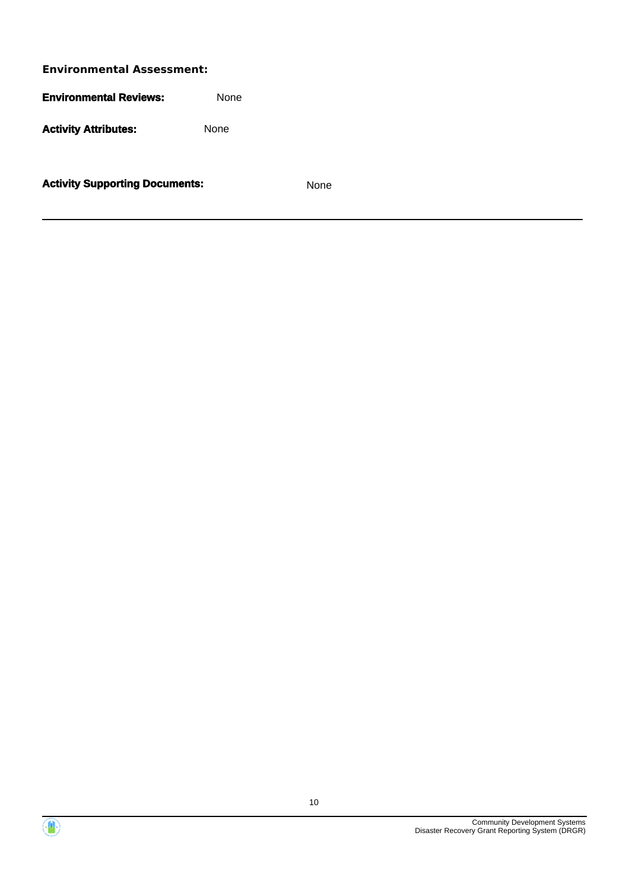**Environmental Reviews:** None

Activity Attributes: None

**Activity Supporting Documents:** None



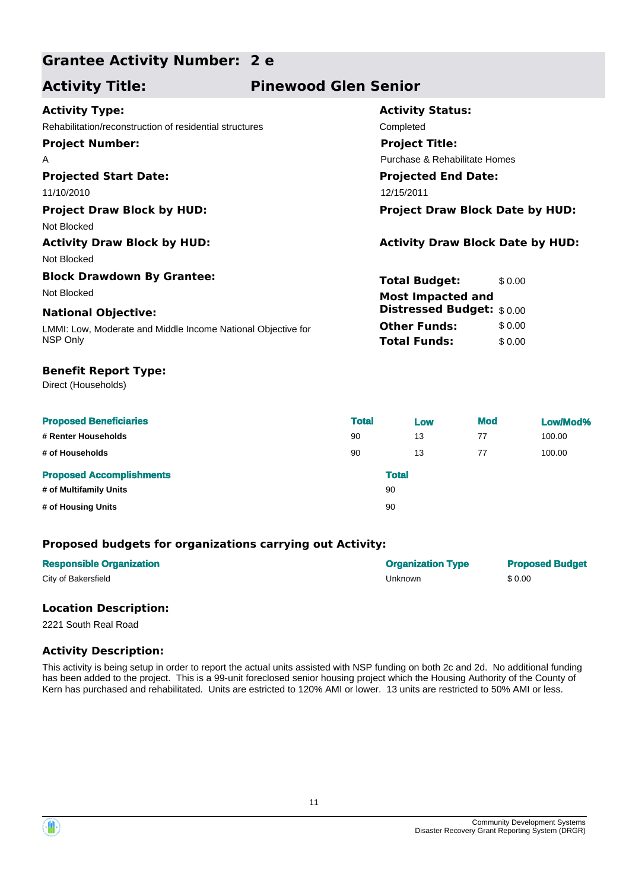## **Grantee Activity Number: 2 e**

## **Activity Title: Pinewood Glen Senior**

| <b>Activity Type:</b>                                        | <b>Activity Status:</b>                 |        |  |  |  |
|--------------------------------------------------------------|-----------------------------------------|--------|--|--|--|
| Rehabilitation/reconstruction of residential structures      | Completed                               |        |  |  |  |
| <b>Project Number:</b>                                       | <b>Project Title:</b>                   |        |  |  |  |
| A                                                            | Purchase & Rehabilitate Homes           |        |  |  |  |
| <b>Projected Start Date:</b>                                 | <b>Projected End Date:</b>              |        |  |  |  |
| 11/10/2010                                                   | 12/15/2011                              |        |  |  |  |
| <b>Project Draw Block by HUD:</b>                            | <b>Project Draw Block Date by HUD:</b>  |        |  |  |  |
| Not Blocked                                                  |                                         |        |  |  |  |
| <b>Activity Draw Block by HUD:</b>                           | <b>Activity Draw Block Date by HUD:</b> |        |  |  |  |
| Not Blocked                                                  |                                         |        |  |  |  |
| <b>Block Drawdown By Grantee:</b>                            | <b>Total Budget:</b>                    | \$0.00 |  |  |  |
| Not Blocked                                                  | <b>Most Impacted and</b>                |        |  |  |  |
| <b>National Objective:</b>                                   | <b>Distressed Budget:</b> \$0.00        |        |  |  |  |
| LMMI: Low, Moderate and Middle Income National Objective for | <b>Other Funds:</b>                     | \$0.00 |  |  |  |
| NSP Only                                                     | <b>Total Funds:</b>                     | \$0.00 |  |  |  |
|                                                              |                                         |        |  |  |  |

## **Benefit Report Type:**

Direct (Households)

| <b>Proposed Beneficiaries</b>   | <b>Total</b> | Low          | <b>Mod</b> | Low/Mod% |
|---------------------------------|--------------|--------------|------------|----------|
| # Renter Households             | 90           | 13           | 77         | 100.00   |
| # of Households                 | 90           | 13           | 77         | 100.00   |
| <b>Proposed Accomplishments</b> |              | <b>Total</b> |            |          |
| # of Multifamily Units          |              | 90           |            |          |
| # of Housing Units              |              | 90           |            |          |

## **Proposed budgets for organizations carrying out Activity:**

| <b>Responsible Organization</b> | <b>Organization Type</b> | <b>Proposed Budget</b> |
|---------------------------------|--------------------------|------------------------|
| City of Bakersfield             | Unknown                  | \$0.00                 |

### **Location Description:**

2221 South Real Road

## **Activity Description:**

This activity is being setup in order to report the actual units assisted with NSP funding on both 2c and 2d. No additional funding has been added to the project. This is a 99-unit foreclosed senior housing project which the Housing Authority of the County of Kern has purchased and rehabilitated. Units are estricted to 120% AMI or lower. 13 units are restricted to 50% AMI or less.



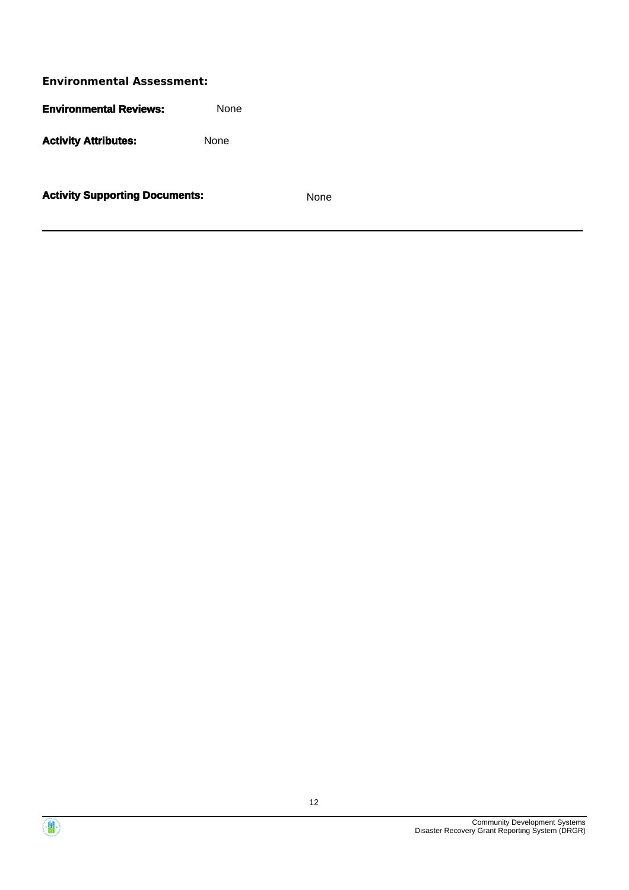**Environmental Assessment: Environmental Reviews:** None Activity **Attributes:** None

**Activity Supporting Documents:** None

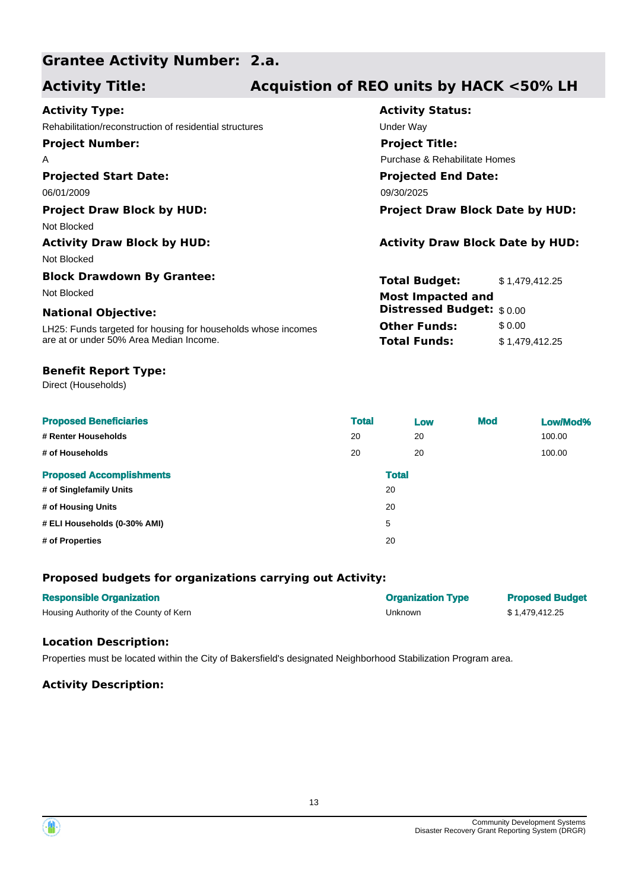## **Grantee Activity Number: 2.a.**

## **Activity Title: Acquistion of REO units by HACK <50% LH**

| <b>Activity Type:</b>                                         | <b>Activity Status:</b>                 |
|---------------------------------------------------------------|-----------------------------------------|
| Rehabilitation/reconstruction of residential structures       | Under Way                               |
| <b>Project Number:</b>                                        | <b>Project Title:</b>                   |
| A                                                             | Purchase & Rehabilitate Homes           |
| <b>Projected Start Date:</b>                                  | <b>Projected End Date:</b>              |
| 06/01/2009                                                    | 09/30/2025                              |
| <b>Project Draw Block by HUD:</b>                             | <b>Project Draw Block Date by HUD:</b>  |
| Not Blocked                                                   |                                         |
| <b>Activity Draw Block by HUD:</b>                            | <b>Activity Draw Block Date by HUD:</b> |
| Not Blocked                                                   |                                         |
| <b>Block Drawdown By Grantee:</b>                             | <b>Total Budget:</b><br>\$1,479,412.25  |
| Not Blocked                                                   | <b>Most Impacted and</b>                |
| <b>National Objective:</b>                                    | Distressed Budget: \$0.00               |
| LH25: Funds targeted for housing for households whose incomes | <b>Other Funds:</b><br>\$0.00           |
| are at or under 50% Area Median Income.                       | <b>Total Funds:</b><br>\$1,479,412.25   |
|                                                               |                                         |

### **Benefit Report Type:**

Direct (Households)

| <b>Proposed Beneficiaries</b>   | <b>Total</b> | Low | <b>Mod</b> | Low/Mod% |
|---------------------------------|--------------|-----|------------|----------|
| # Renter Households             | 20           | 20  |            | 100.00   |
| # of Households                 | 20           | 20  |            | 100.00   |
| <b>Proposed Accomplishments</b> | <b>Total</b> |     |            |          |
| # of Singlefamily Units         | 20           |     |            |          |
| # of Housing Units              | 20           |     |            |          |
| # ELI Households (0-30% AMI)    | 5            |     |            |          |
| # of Properties                 | 20           |     |            |          |

## **Proposed budgets for organizations carrying out Activity:**

| <b>Responsible Organization</b>         | <b>Organization Type</b> | <b>Proposed Budget</b> |
|-----------------------------------------|--------------------------|------------------------|
| Housing Authority of the County of Kern | Unknown                  | \$1.479.412.25         |

## **Location Description:**

Properties must be located within the City of Bakersfield's designated Neighborhood Stabilization Program area.

### **Activity Description:**

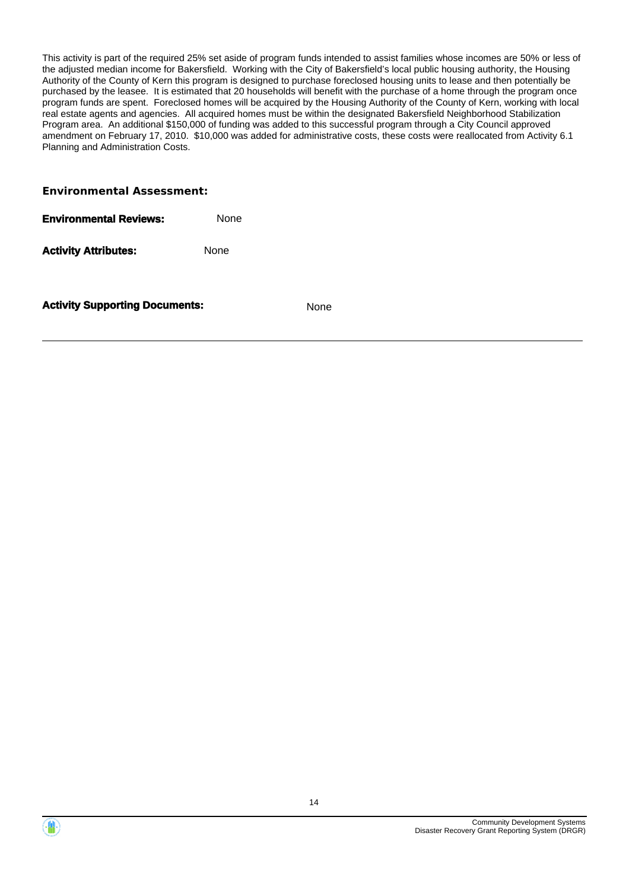This activity is part of the required 25% set aside of program funds intended to assist families whose incomes are 50% or less of the adjusted median income for Bakersfield. Working with the City of Bakersfield's local public housing authority, the Housing Authority of the County of Kern this program is designed to purchase foreclosed housing units to lease and then potentially be purchased by the leasee. It is estimated that 20 households will benefit with the purchase of a home through the program once program funds are spent. Foreclosed homes will be acquired by the Housing Authority of the County of Kern, working with local real estate agents and agencies. All acquired homes must be within the designated Bakersfield Neighborhood Stabilization Program area. An additional \$150,000 of funding was added to this successful program through a City Council approved amendment on February 17, 2010. \$10,000 was added for administrative costs, these costs were reallocated from Activity 6.1 Planning and Administration Costs.

#### **Environmental Assessment:**

| Environmental Reviews: | None |
|------------------------|------|
|                        |      |

Activity Attributes: None

**Activity Supporting Documents:** None

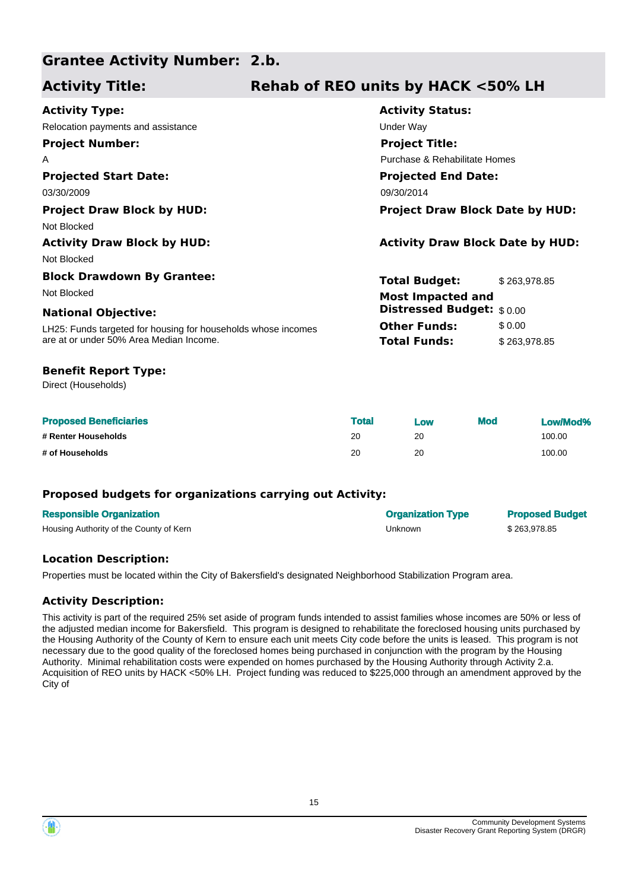#### **Grantee Activity Number: 2.b.**

## **Activity Title: Rehab of REO units by HACK <50% LH**

| <b>Activity Type:</b>                                         | <b>Activity Status:</b>                 |              |
|---------------------------------------------------------------|-----------------------------------------|--------------|
| Relocation payments and assistance                            | Under Way                               |              |
| <b>Project Number:</b>                                        | <b>Project Title:</b>                   |              |
| A                                                             | Purchase & Rehabilitate Homes           |              |
| <b>Projected Start Date:</b>                                  | <b>Projected End Date:</b>              |              |
| 03/30/2009                                                    | 09/30/2014                              |              |
| <b>Project Draw Block by HUD:</b>                             | <b>Project Draw Block Date by HUD:</b>  |              |
| Not Blocked                                                   |                                         |              |
| <b>Activity Draw Block by HUD:</b>                            | <b>Activity Draw Block Date by HUD:</b> |              |
| Not Blocked                                                   |                                         |              |
| <b>Block Drawdown By Grantee:</b>                             | <b>Total Budget:</b>                    | \$263,978.85 |
| Not Blocked                                                   | <b>Most Impacted and</b>                |              |
| <b>National Objective:</b>                                    | <b>Distressed Budget:</b> \$0.00        |              |
| LH25: Funds targeted for housing for households whose incomes | <b>Other Funds:</b>                     | \$0.00       |
| are at or under 50% Area Median Income.                       | <b>Total Funds:</b>                     | \$263,978.85 |
| <b>Benefit Report Type:</b>                                   |                                         |              |

Direct (Households)

| <b>Proposed Beneficiaries</b> | <b>Total</b> | Low | <b>Mod</b> | Low/Mod% |
|-------------------------------|--------------|-----|------------|----------|
| # Renter Households           | 20           | 20  |            | 100.00   |
| # of Households               | 20           | 20  |            | 100.00   |

## **Proposed budgets for organizations carrying out Activity:**

| <b>Responsible Organization</b>         | <b>Organization Type</b> | <b>Proposed Budget</b> |
|-----------------------------------------|--------------------------|------------------------|
| Housing Authority of the County of Kern | Unknown                  | \$263.978.85           |

## **Location Description:**

Properties must be located within the City of Bakersfield's designated Neighborhood Stabilization Program area.

## **Activity Description:**

This activity is part of the required 25% set aside of program funds intended to assist families whose incomes are 50% or less of the adjusted median income for Bakersfield. This program is designed to rehabilitate the foreclosed housing units purchased by the Housing Authority of the County of Kern to ensure each unit meets City code before the units is leased. This program is not necessary due to the good quality of the foreclosed homes being purchased in conjunction with the program by the Housing Authority. Minimal rehabilitation costs were expended on homes purchased by the Housing Authority through Activity 2.a. Acquisition of REO units by HACK <50% LH. Project funding was reduced to \$225,000 through an amendment approved by the City of



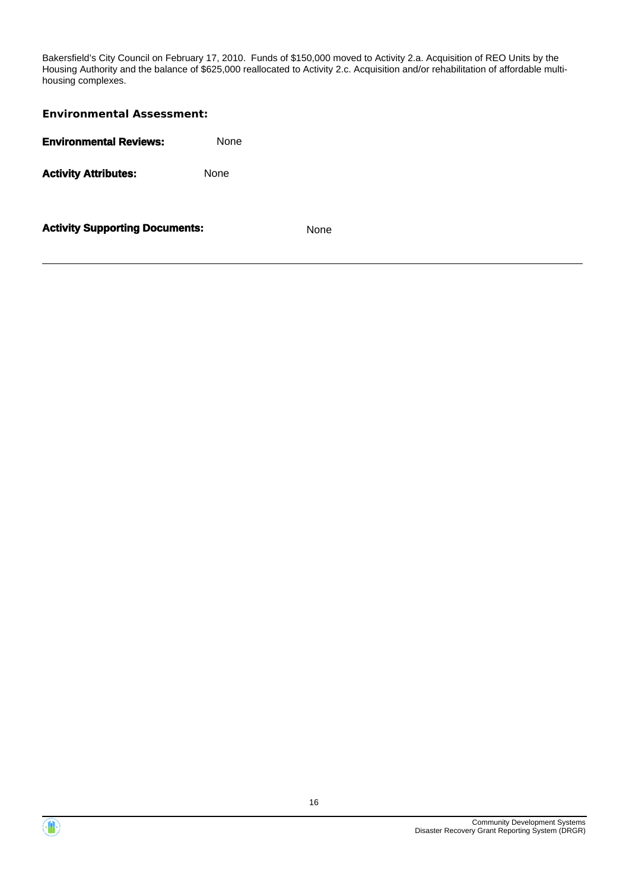Bakersfield's City Council on February 17, 2010. Funds of \$150,000 moved to Activity 2.a. Acquisition of REO Units by the Housing Authority and the balance of \$625,000 reallocated to Activity 2.c. Acquisition and/or rehabilitation of affordable multihousing complexes.

| <b>Environmental Assessment:</b>              |             |  |  |
|-----------------------------------------------|-------------|--|--|
| <b>Environmental Reviews:</b>                 | <b>None</b> |  |  |
| <b>Activity Attributes:</b>                   | None        |  |  |
| <b>Activity Supporting Documents:</b><br>None |             |  |  |



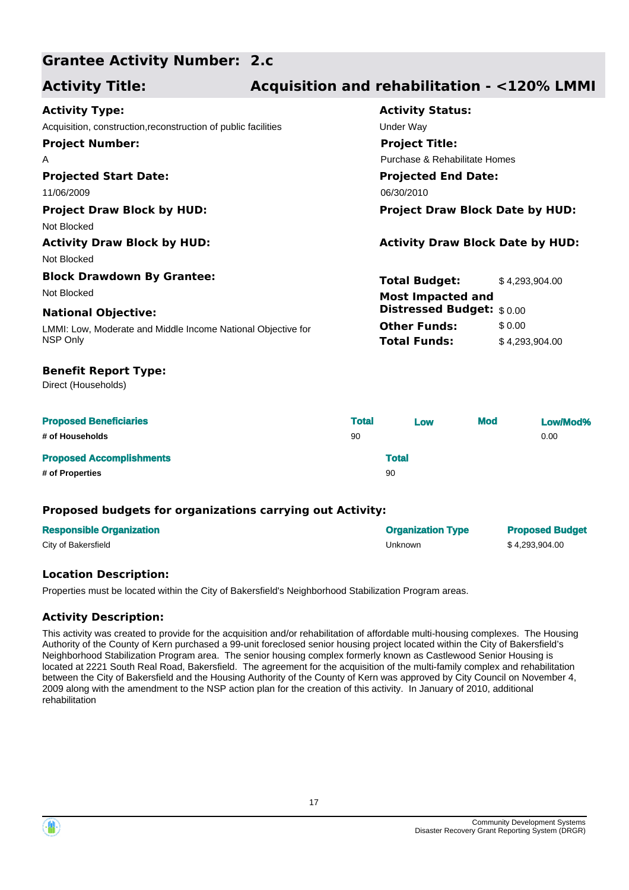#### **Grantee Activity Number: 2.c**

## **Activity Title: Acquisition and rehabilitation - <120% LMMI**

| <b>Activity Type:</b>                                          | <b>Activity Status:</b>                 |                |  |
|----------------------------------------------------------------|-----------------------------------------|----------------|--|
| Acquisition, construction, reconstruction of public facilities | Under Way                               |                |  |
| <b>Project Number:</b>                                         | <b>Project Title:</b>                   |                |  |
| A                                                              | Purchase & Rehabilitate Homes           |                |  |
| <b>Projected Start Date:</b>                                   | <b>Projected End Date:</b>              |                |  |
| 11/06/2009                                                     | 06/30/2010                              |                |  |
| <b>Project Draw Block by HUD:</b>                              | <b>Project Draw Block Date by HUD:</b>  |                |  |
| Not Blocked                                                    |                                         |                |  |
| <b>Activity Draw Block by HUD:</b>                             | <b>Activity Draw Block Date by HUD:</b> |                |  |
| Not Blocked                                                    |                                         |                |  |
| <b>Block Drawdown By Grantee:</b>                              | <b>Total Budget:</b>                    | \$4,293,904.00 |  |
| Not Blocked                                                    | <b>Most Impacted and</b>                |                |  |
| <b>National Objective:</b>                                     | Distressed Budget: \$0.00               |                |  |
| LMMI: Low, Moderate and Middle Income National Objective for   | <b>Other Funds:</b>                     | \$0.00         |  |
| NSP Only                                                       | <b>Total Funds:</b>                     | \$4,293,904.00 |  |
| <b>Benefit Report Type:</b>                                    |                                         |                |  |
| Direct (Households)                                            |                                         |                |  |

| <b>Proposed Beneficiaries</b>   | <b>Total</b> | Low          | <b>Mod</b> | Low/Mod% |
|---------------------------------|--------------|--------------|------------|----------|
| # of Households                 | 90           |              |            | 0.00     |
| <b>Proposed Accomplishments</b> |              | <b>Total</b> |            |          |
| # of Properties                 |              | 90           |            |          |

## **Proposed budgets for organizations carrying out Activity:**

| <b>Responsible Organization</b> | <b>Organization Type</b> | <b>Proposed Budget</b> |
|---------------------------------|--------------------------|------------------------|
| City of Bakersfield             | Unknown                  | \$4.293.904.00         |

## **Location Description:**

Properties must be located within the City of Bakersfield's Neighborhood Stabilization Program areas.

## **Activity Description:**

This activity was created to provide for the acquisition and/or rehabilitation of affordable multi-housing complexes. The Housing Authority of the County of Kern purchased a 99-unit foreclosed senior housing project located within the City of Bakersfield's Neighborhood Stabilization Program area. The senior housing complex formerly known as Castlewood Senior Housing is located at 2221 South Real Road, Bakersfield. The agreement for the acquisition of the multi-family complex and rehabilitation between the City of Bakersfield and the Housing Authority of the County of Kern was approved by City Council on November 4, 2009 along with the amendment to the NSP action plan for the creation of this activity. In January of 2010, additional rehabilitation



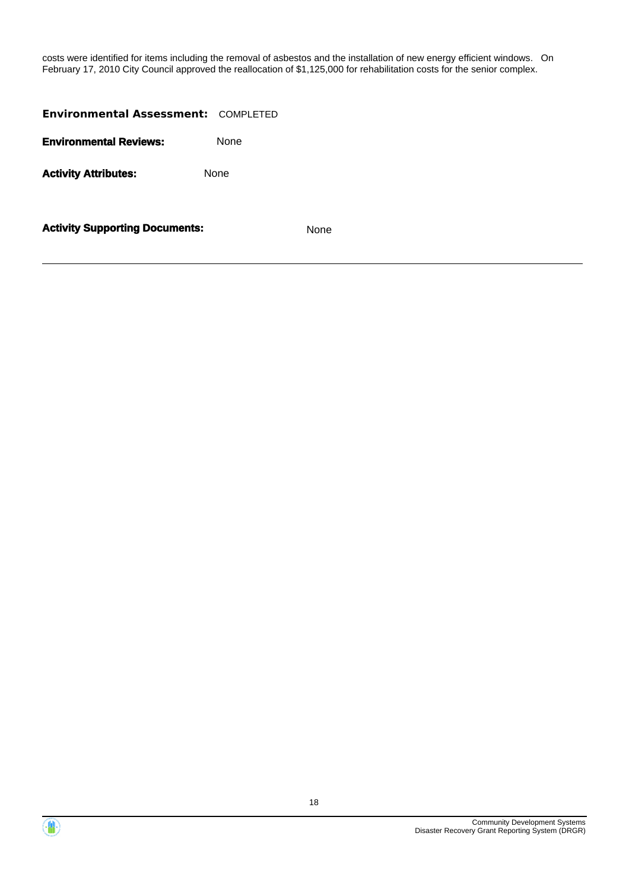costs were identified for items including the removal of asbestos and the installation of new energy efficient windows. On February 17, 2010 City Council approved the reallocation of \$1,125,000 for rehabilitation costs for the senior complex.

| <b>Environmental Assessment: COMPLETED</b> |             |             |
|--------------------------------------------|-------------|-------------|
| <b>Environmental Reviews:</b>              | <b>None</b> |             |
| <b>Activity Attributes:</b>                | None        |             |
| <b>Activity Supporting Documents:</b>      |             | <b>None</b> |

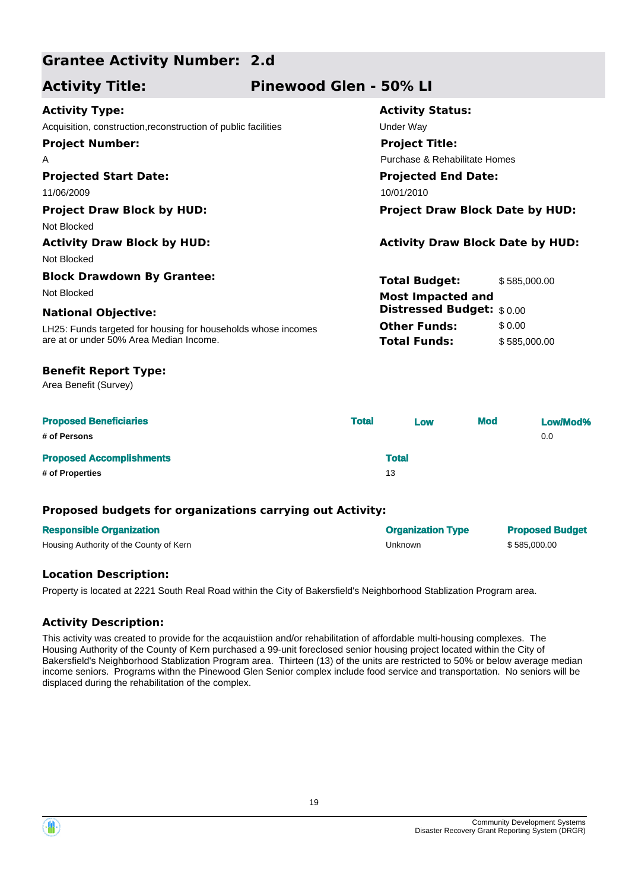## **Grantee Activity Number: 2.d**

## **Activity Title: Pinewood Glen - 50% LI**

| <b>Activity Type:</b>                                          | <b>Activity Status:</b>                 |              |  |
|----------------------------------------------------------------|-----------------------------------------|--------------|--|
| Acquisition, construction, reconstruction of public facilities | Under Way                               |              |  |
| <b>Project Number:</b>                                         | <b>Project Title:</b>                   |              |  |
| A                                                              | Purchase & Rehabilitate Homes           |              |  |
| <b>Projected Start Date:</b>                                   | <b>Projected End Date:</b>              |              |  |
| 11/06/2009                                                     | 10/01/2010                              |              |  |
| <b>Project Draw Block by HUD:</b>                              | <b>Project Draw Block Date by HUD:</b>  |              |  |
| Not Blocked                                                    |                                         |              |  |
| <b>Activity Draw Block by HUD:</b>                             | <b>Activity Draw Block Date by HUD:</b> |              |  |
| Not Blocked                                                    |                                         |              |  |
| <b>Block Drawdown By Grantee:</b>                              | <b>Total Budget:</b>                    | \$585,000.00 |  |
| Not Blocked                                                    | <b>Most Impacted and</b>                |              |  |
| <b>National Objective:</b>                                     | <b>Distressed Budget:</b> \$0.00        |              |  |
| LH25: Funds targeted for housing for households whose incomes  | <b>Other Funds:</b>                     | \$0.00       |  |
| are at or under 50% Area Median Income.                        | <b>Total Funds:</b>                     | \$585,000.00 |  |
| <b>Benefit Report Type:</b>                                    |                                         |              |  |

Area Benefit (Survey)

| <b>Proposed Beneficiaries</b>   | <b>Total</b> | Low          | <b>Mod</b> | Low/Mod% |
|---------------------------------|--------------|--------------|------------|----------|
| # of Persons                    |              |              |            | 0.0      |
| <b>Proposed Accomplishments</b> |              | <b>Total</b> |            |          |
| # of Properties                 | 13           |              |            |          |

## **Proposed budgets for organizations carrying out Activity:**

| <b>Responsible Organization</b>         | <b>Organization Type</b> | <b>Proposed Budget</b> |
|-----------------------------------------|--------------------------|------------------------|
| Housing Authority of the County of Kern | Unknown                  | \$585,000.00           |

## **Location Description:**

Property is located at 2221 South Real Road within the City of Bakersfield's Neighborhood Stablization Program area.

## **Activity Description:**

This activity was created to provide for the acqauistiion and/or rehabilitation of affordable multi-housing complexes. The Housing Authority of the County of Kern purchased a 99-unit foreclosed senior housing project located within the City of Bakersfield's Neighborhood Stablization Program area. Thirteen (13) of the units are restricted to 50% or below average median income seniors. Programs withn the Pinewood Glen Senior complex include food service and transportation. No seniors will be displaced during the rehabilitation of the complex.

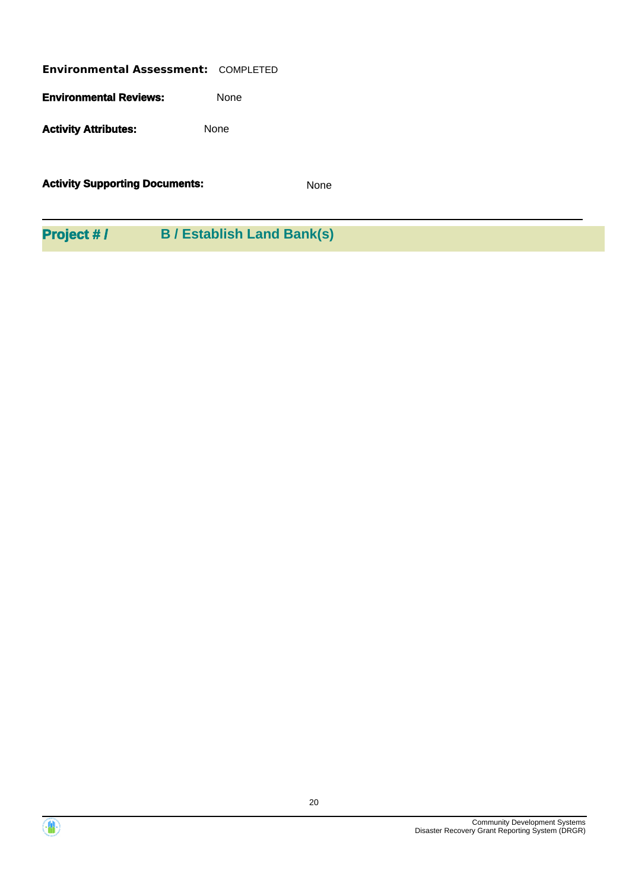**Environmental Assessment:** COMPLETED **Environmental Reviews:** None Activity **Attributes:** None

**Activity Supporting Documents:** None

**Project # / B / Establish Land Bank(s)**



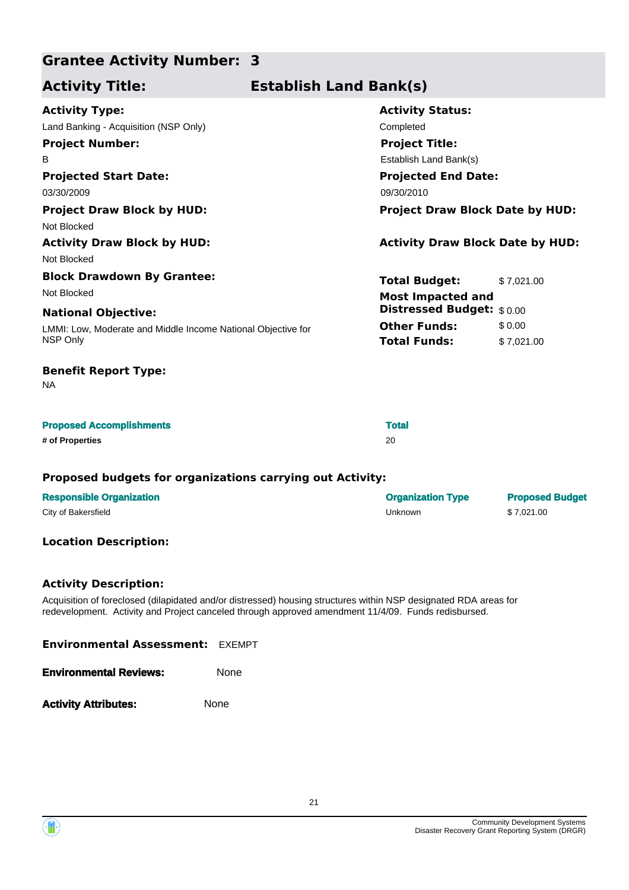## **Grantee Activity Number: 3**

## **Activity Title: Establish Land Bank(s)**

| <b>Activity Type:</b>                                        | <b>Activity Status:</b>                 |            |  |
|--------------------------------------------------------------|-----------------------------------------|------------|--|
| Land Banking - Acquisition (NSP Only)                        | Completed                               |            |  |
| <b>Project Number:</b>                                       | <b>Project Title:</b>                   |            |  |
| B                                                            | Establish Land Bank(s)                  |            |  |
| <b>Projected Start Date:</b>                                 | <b>Projected End Date:</b>              |            |  |
| 03/30/2009                                                   | 09/30/2010                              |            |  |
| <b>Project Draw Block by HUD:</b>                            | <b>Project Draw Block Date by HUD:</b>  |            |  |
| Not Blocked                                                  |                                         |            |  |
| <b>Activity Draw Block by HUD:</b>                           | <b>Activity Draw Block Date by HUD:</b> |            |  |
| Not Blocked                                                  |                                         |            |  |
| <b>Block Drawdown By Grantee:</b>                            | <b>Total Budget:</b>                    | \$7,021.00 |  |
| Not Blocked                                                  | <b>Most Impacted and</b>                |            |  |
| <b>National Objective:</b>                                   | Distressed Budget: \$0.00               |            |  |
| LMMI: Low, Moderate and Middle Income National Objective for | <b>Other Funds:</b>                     | \$0.00     |  |
| NSP Only                                                     | <b>Total Funds:</b>                     | \$7,021.00 |  |
| <b>Benefit Report Type:</b><br>NA.                           |                                         |            |  |

| <b>Proposed Accomplishments</b> | <b>Total</b> |
|---------------------------------|--------------|
| # of Properties                 | 20           |

### **Proposed budgets for organizations carrying out Activity:**

| <b>Responsible Organization</b> | <b>Organization Type</b> | <b>Proposed Budget</b> |
|---------------------------------|--------------------------|------------------------|
| City of Bakersfield             | Unknown                  | \$7.021.00             |

## **Location Description:**

## **Activity Description:**

Acquisition of foreclosed (dilapidated and/or distressed) housing structures within NSP designated RDA areas for redevelopment. Activity and Project canceled through approved amendment 11/4/09. Funds redisbursed.

| <b>Environmental Assessment: EXEMPT</b> |      |  |
|-----------------------------------------|------|--|
| <b>Environmental Reviews:</b>           | None |  |
| <b>Activity Attributes:</b>             | None |  |

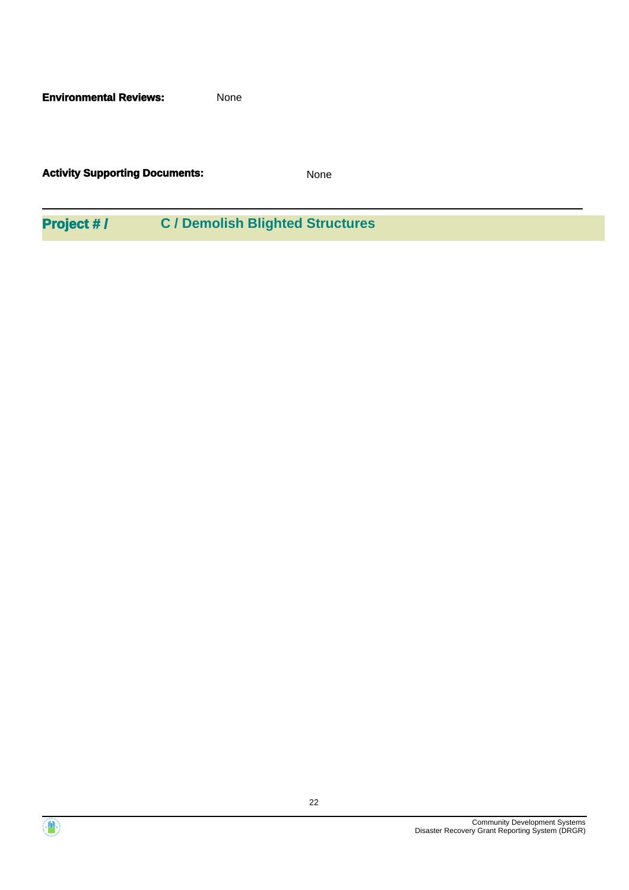**Environmental Reviews:** None

**Activity Supporting Documents:** None

**Project # / C / Demolish Blighted Structures**



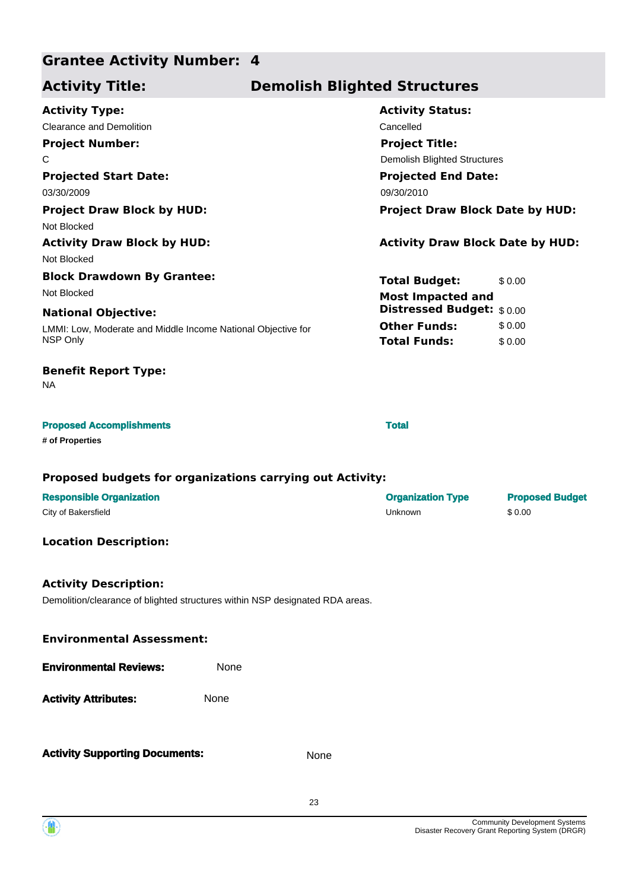## **Grantee Activity Number: 4**

## **Activity Title: Demolish Blighted Structures**

| <b>Activity Type:</b>                                        | <b>Activity Status:</b>                 |  |  |
|--------------------------------------------------------------|-----------------------------------------|--|--|
| Clearance and Demolition                                     | Cancelled                               |  |  |
| <b>Project Number:</b>                                       | <b>Project Title:</b>                   |  |  |
| C                                                            | <b>Demolish Blighted Structures</b>     |  |  |
| <b>Projected Start Date:</b>                                 | <b>Projected End Date:</b>              |  |  |
| 03/30/2009                                                   | 09/30/2010                              |  |  |
| <b>Project Draw Block by HUD:</b>                            | <b>Project Draw Block Date by HUD:</b>  |  |  |
| Not Blocked                                                  |                                         |  |  |
| <b>Activity Draw Block by HUD:</b>                           | <b>Activity Draw Block Date by HUD:</b> |  |  |
| Not Blocked                                                  |                                         |  |  |
| <b>Block Drawdown By Grantee:</b>                            | <b>Total Budget:</b><br>\$0.00          |  |  |
| Not Blocked                                                  | <b>Most Impacted and</b>                |  |  |
| <b>National Objective:</b>                                   | <b>Distressed Budget:</b> \$0.00        |  |  |
| LMMI: Low, Moderate and Middle Income National Objective for | <b>Other Funds:</b><br>\$0.00           |  |  |
| NSP Only                                                     | <b>Total Funds:</b><br>\$0.00           |  |  |
| <b>Benefit Report Type:</b><br><b>NA</b>                     |                                         |  |  |
| <b>Proposed Accomplishments</b><br># of Properties           | <b>Total</b>                            |  |  |

### **Proposed budgets for organizations carrying out Activity:**

| <b>Responsible Organization</b> | <b>Organization Type</b> | <b>Proposed Budget</b> |
|---------------------------------|--------------------------|------------------------|
| City of Bakersfield             | Unknown                  | \$0.00                 |

## **Location Description:**

## **Activity Description:**

Demolition/clearance of blighted structures within NSP designated RDA areas.

| <b>Environmental Assessment:</b> |      |  |
|----------------------------------|------|--|
| <b>Environmental Reviews:</b>    | None |  |
| <b>Activity Attributes:</b>      | None |  |
|                                  |      |  |

**Activity Supporting Documents:** None

23

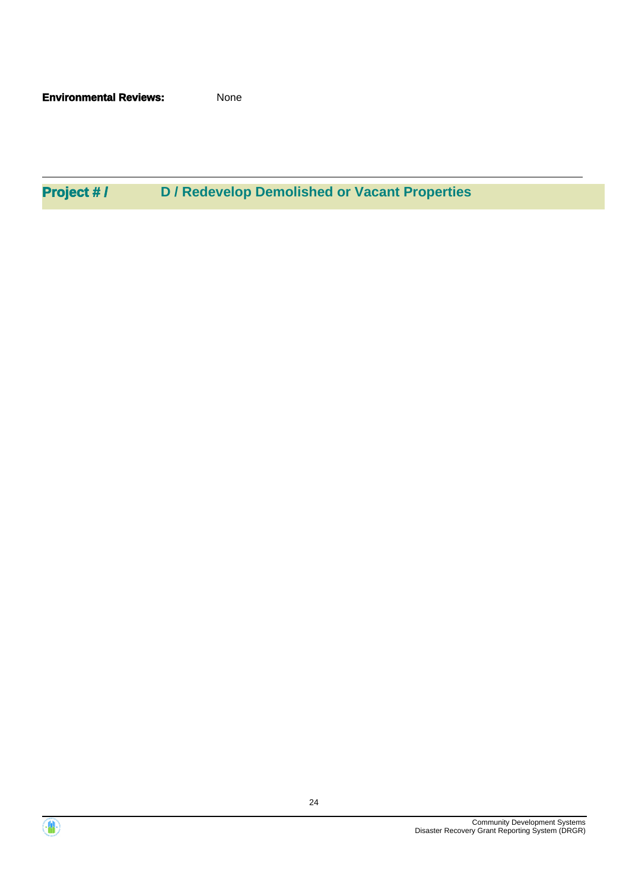**Environmental Reviews:** None

**Project # / D / Redevelop Demolished or Vacant Properties**



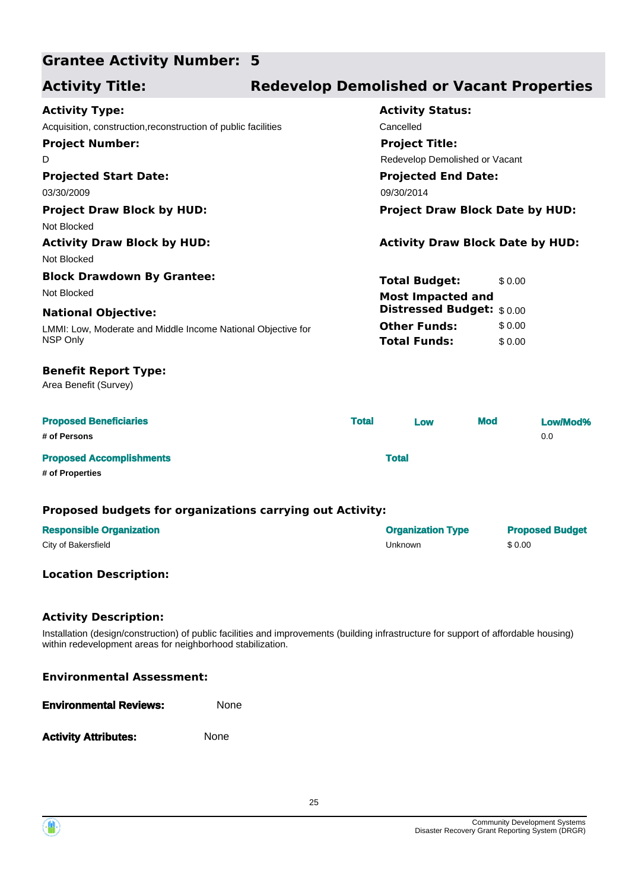#### **Grantee Activity Number: 5**

## **Activity Title: Redevelop Demolished or Vacant Properties**

| <b>Activity Type:</b>                                          |              | <b>Activity Status:</b>                 |        |          |  |
|----------------------------------------------------------------|--------------|-----------------------------------------|--------|----------|--|
| Acquisition, construction, reconstruction of public facilities |              | Cancelled                               |        |          |  |
| <b>Project Number:</b>                                         |              | <b>Project Title:</b>                   |        |          |  |
| D                                                              |              | Redevelop Demolished or Vacant          |        |          |  |
| <b>Projected Start Date:</b>                                   |              | <b>Projected End Date:</b>              |        |          |  |
| 03/30/2009                                                     |              | 09/30/2014                              |        |          |  |
| <b>Project Draw Block by HUD:</b>                              |              | <b>Project Draw Block Date by HUD:</b>  |        |          |  |
| Not Blocked                                                    |              |                                         |        |          |  |
| <b>Activity Draw Block by HUD:</b>                             |              | <b>Activity Draw Block Date by HUD:</b> |        |          |  |
| Not Blocked                                                    |              |                                         |        |          |  |
| <b>Block Drawdown By Grantee:</b>                              |              | <b>Total Budget:</b>                    | \$0.00 |          |  |
| Not Blocked                                                    |              | <b>Most Impacted and</b>                |        |          |  |
| <b>National Objective:</b>                                     |              | Distressed Budget: \$0.00               |        |          |  |
| LMMI: Low, Moderate and Middle Income National Objective for   |              | <b>Other Funds:</b>                     | \$0.00 |          |  |
| NSP Only                                                       |              | <b>Total Funds:</b>                     | \$0.00 |          |  |
| <b>Benefit Report Type:</b><br>Area Benefit (Survey)           |              |                                         |        |          |  |
| <b>Proposed Beneficiaries</b>                                  | <b>Total</b> | <b>Mod</b><br>Low                       |        | Low/Mod% |  |

|                                 | ----------- | ____         | _______ | __________ |
|---------------------------------|-------------|--------------|---------|------------|
| # of Persons                    |             |              |         | 0.0        |
| <b>Proposed Accomplishments</b> |             | <b>Total</b> |         |            |
|                                 |             |              |         |            |

**# of Properties**

### **Proposed budgets for organizations carrying out Activity:**

| <b>Responsible Organization</b> | <b>Organization Type</b> | <b>Proposed Budget</b> |
|---------------------------------|--------------------------|------------------------|
| City of Bakersfield             | Unknown                  | \$0.00                 |

## **Location Description:**

### **Activity Description:**

Installation (design/construction) of public facilities and improvements (building infrastructure for support of affordable housing) within redevelopment areas for neighborhood stabilization.

| <b>Environmental Assessment:</b> |  |
|----------------------------------|--|
|----------------------------------|--|

| <b>Environmental Reviews:</b> | <b>None</b> |
|-------------------------------|-------------|
|                               |             |

Activity **Attributes:** None

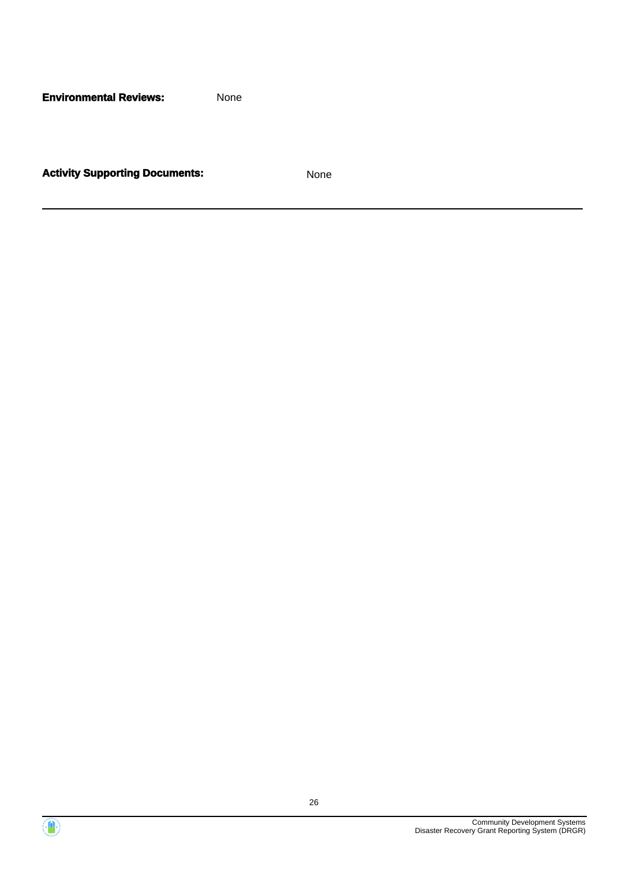**Environmental Reviews:** None

**Activity Supporting Documents:** None



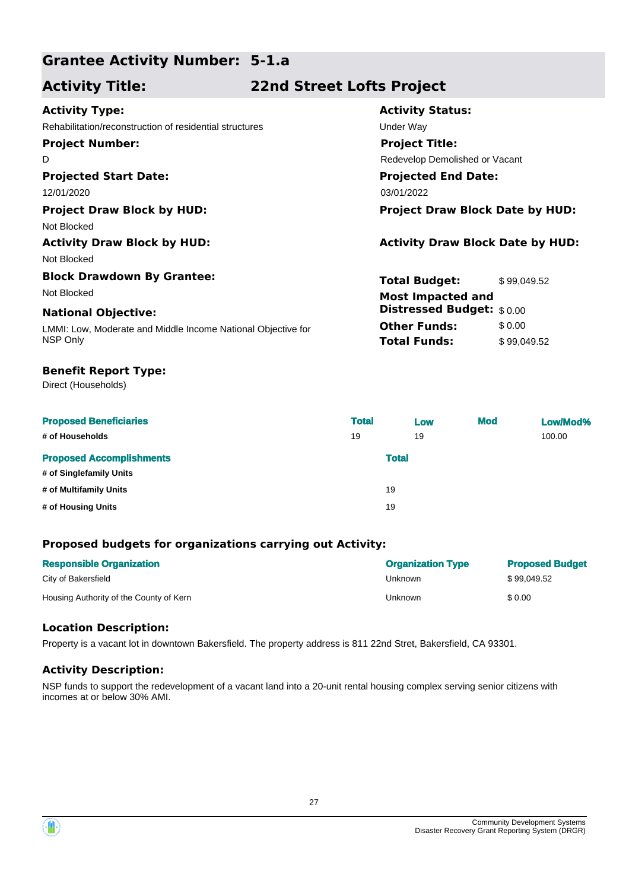## **Grantee Activity Number: 5-1.a**

## **Activity Title: 22nd Street Lofts Project**

| <b>Activity Type:</b>                                        | <b>Activity Status:</b>                 |
|--------------------------------------------------------------|-----------------------------------------|
| Rehabilitation/reconstruction of residential structures      | Under Way                               |
| <b>Project Number:</b>                                       | <b>Project Title:</b>                   |
| D                                                            | Redevelop Demolished or Vacant          |
| <b>Projected Start Date:</b>                                 | <b>Projected End Date:</b>              |
| 12/01/2020                                                   | 03/01/2022                              |
| <b>Project Draw Block by HUD:</b>                            | <b>Project Draw Block Date by HUD:</b>  |
| Not Blocked                                                  |                                         |
| <b>Activity Draw Block by HUD:</b>                           | <b>Activity Draw Block Date by HUD:</b> |
| Not Blocked                                                  |                                         |
| <b>Block Drawdown By Grantee:</b>                            | <b>Total Budget:</b><br>\$99,049.52     |
| Not Blocked                                                  | <b>Most Impacted and</b>                |
| <b>National Objective:</b>                                   | Distressed Budget: \$0.00               |
| LMMI: Low, Moderate and Middle Income National Objective for | <b>Other Funds:</b><br>\$0.00           |
| NSP Only                                                     | <b>Total Funds:</b><br>\$99,049.52      |
|                                                              |                                         |

## **Benefit Report Type:**

Direct (Households)

| <b>Proposed Beneficiaries</b>   | <b>Total</b> | Low          | <b>Mod</b> | Low/Mod% |
|---------------------------------|--------------|--------------|------------|----------|
| # of Households                 | 19           | 19           |            | 100.00   |
| <b>Proposed Accomplishments</b> |              | <b>Total</b> |            |          |
| # of Singlefamily Units         |              |              |            |          |
| # of Multifamily Units          |              | 19           |            |          |
| # of Housing Units              |              | 19           |            |          |

## **Proposed budgets for organizations carrying out Activity:**

| <b>Responsible Organization</b>         | <b>Organization Type</b> | <b>Proposed Budget</b> |
|-----------------------------------------|--------------------------|------------------------|
| City of Bakersfield                     | Unknown                  | \$99.049.52            |
| Housing Authority of the County of Kern | Unknown                  | \$0.00                 |

## **Location Description:**

Property is a vacant lot in downtown Bakersfield. The property address is 811 22nd Stret, Bakersfield, CA 93301.

## **Activity Description:**

NSP funds to support the redevelopment of a vacant land into a 20-unit rental housing complex serving senior citizens with incomes at or below 30% AMI.

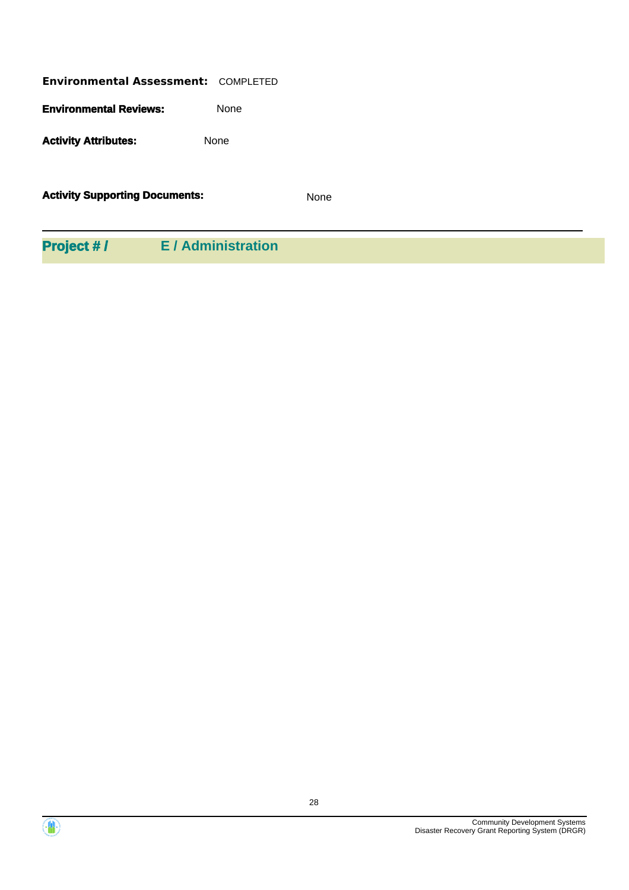| <b>Environmental Assessment: COMPLETED</b> |             |  |
|--------------------------------------------|-------------|--|
| <b>Environmental Reviews:</b>              | <b>None</b> |  |
| <b>Activity Attributes:</b>                | <b>None</b> |  |
| <b>Activity Supporting Documents:</b>      |             |  |

**Project # / E / Administration**



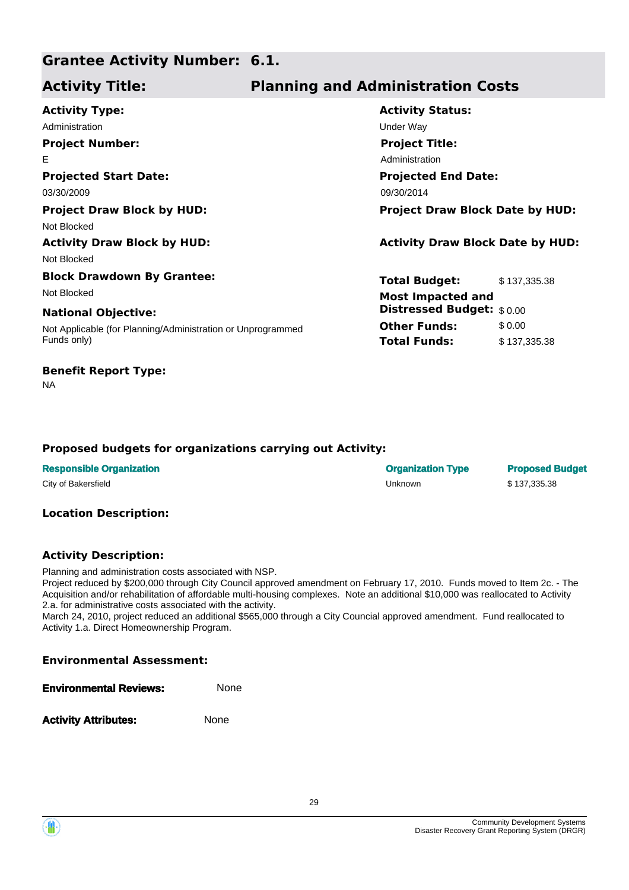#### **Grantee Activity Number: 6.1.**

## **Activity Title: Planning and Administration Costs**

| <b>Project Draw Block Date by HUD:</b>  |
|-----------------------------------------|
|                                         |
| <b>Activity Draw Block Date by HUD:</b> |
|                                         |
| \$137,335.38                            |
|                                         |
| <b>Distressed Budget:</b> \$0.00        |
| \$0.00                                  |
| \$137,335.38                            |
|                                         |

## **Benefit Report Type:**

NA

## **Proposed budgets for organizations carrying out Activity:**

| <b>Responsible Organization</b> | <b>Organization Type</b> | <b>Proposed Budget</b> |
|---------------------------------|--------------------------|------------------------|
| City of Bakersfield             | Unknown                  | \$137.335.38           |

### **Location Description:**

## **Activity Description:**

Planning and administration costs associated with NSP.

Project reduced by \$200,000 through City Council approved amendment on February 17, 2010. Funds moved to Item 2c. - The Acquisition and/or rehabilitation of affordable multi-housing complexes. Note an additional \$10,000 was reallocated to Activity 2.a. for administrative costs associated with the activity.

March 24, 2010, project reduced an additional \$565,000 through a City Councial approved amendment. Fund reallocated to Activity 1.a. Direct Homeownership Program.

| <b>Environmental Reviews:</b> | None |  |
|-------------------------------|------|--|
| <b>Activity Attributes:</b>   | None |  |

**Environmental Assessment:**

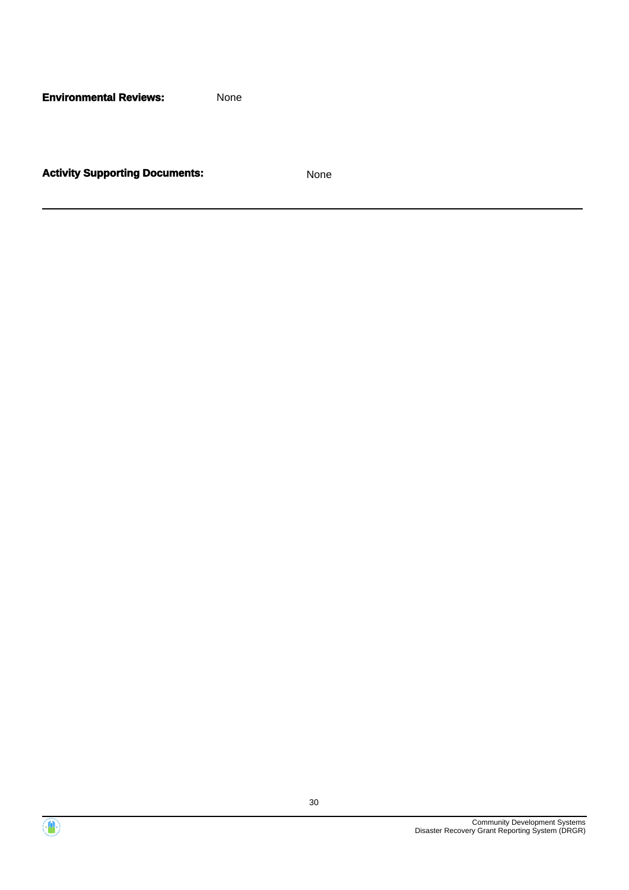**Environmental Reviews:** None

**Activity Supporting Documents:** None



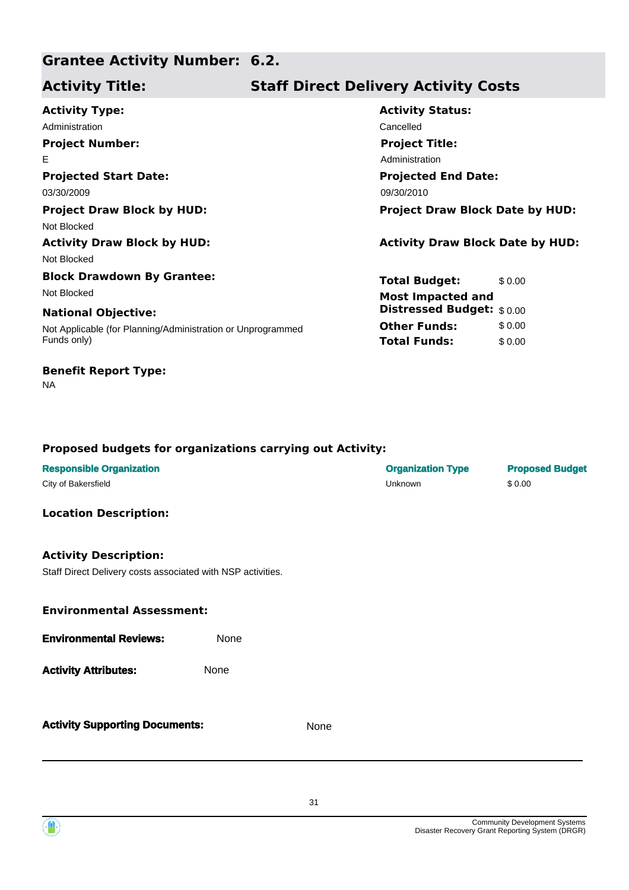## **Grantee Activity Number: 6.2.**

## **Activity Title: Staff Direct Delivery Activity Costs**

| <b>Activity Type:</b>                                       | <b>Activity Status:</b>                 |         |
|-------------------------------------------------------------|-----------------------------------------|---------|
| Administration                                              | Cancelled                               |         |
| <b>Project Number:</b>                                      | <b>Project Title:</b>                   |         |
| E                                                           | Administration                          |         |
| <b>Projected Start Date:</b>                                | <b>Projected End Date:</b>              |         |
| 03/30/2009                                                  | 09/30/2010                              |         |
| <b>Project Draw Block by HUD:</b>                           | <b>Project Draw Block Date by HUD:</b>  |         |
| Not Blocked                                                 |                                         |         |
| <b>Activity Draw Block by HUD:</b>                          | <b>Activity Draw Block Date by HUD:</b> |         |
| Not Blocked                                                 |                                         |         |
| <b>Block Drawdown By Grantee:</b>                           | <b>Total Budget:</b>                    | \$ 0.00 |
| Not Blocked                                                 | <b>Most Impacted and</b>                |         |
| <b>National Objective:</b>                                  | <b>Distressed Budget:</b> \$0.00        |         |
| Not Applicable (for Planning/Administration or Unprogrammed | <b>Other Funds:</b>                     | \$0.00  |
| Funds only)                                                 | <b>Total Funds:</b>                     | \$0.00  |
|                                                             |                                         |         |

# **Proposed budgets for organizations carrying out Activity:**

| <b>Responsible Organization</b><br>City of Bakersfield                                      |      |      | <b>Organization Type</b><br>Unknown | <b>Proposed Budget</b><br>\$0.00 |
|---------------------------------------------------------------------------------------------|------|------|-------------------------------------|----------------------------------|
| <b>Location Description:</b>                                                                |      |      |                                     |                                  |
| <b>Activity Description:</b><br>Staff Direct Delivery costs associated with NSP activities. |      |      |                                     |                                  |
| <b>Environmental Assessment:</b>                                                            |      |      |                                     |                                  |
| <b>Environmental Reviews:</b>                                                               | None |      |                                     |                                  |
| <b>Activity Attributes:</b>                                                                 | None |      |                                     |                                  |
| <b>Activity Supporting Documents:</b>                                                       |      | None |                                     |                                  |



NA

**Benefit Report Type:**